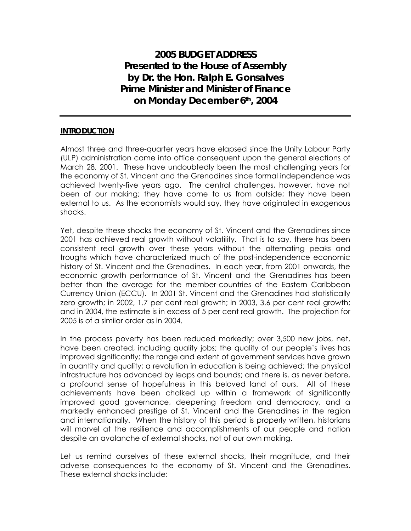**2005 BUDGET ADDRESS Presented to the House of Assembly by Dr. the Hon. Ralph E. Gonsalves Prime Minister and Minister of Finance on Monday December 6th, 2004** 

#### **INTRODUCTION**

Almost three and three-quarter years have elapsed since the Unity Labour Party (ULP) administration came into office consequent upon the general elections of March 28, 2001. These have undoubtedly been the most challenging years for the economy of St. Vincent and the Grenadines since formal independence was achieved twenty-five years ago. The central challenges, however, have not been of our making; they have come to us from outside; they have been external to us. As the economists would say, they have originated in exogenous shocks.

Yet, despite these shocks the economy of St. Vincent and the Grenadines since 2001 has achieved real growth without volatility. That is to say, there has been consistent real growth over these years without the alternating peaks and troughs which have characterized much of the post-independence economic history of St. Vincent and the Grenadines. In each year, from 2001 onwards, the economic growth performance of St. Vincent and the Grenadines has been better than the average for the member-countries of the Eastern Caribbean Currency Union (ECCU). In 2001 St. Vincent and the Grenadines had statistically zero growth; in 2002, 1.7 per cent real growth; in 2003, 3.6 per cent real growth; and in 2004, the estimate is in excess of 5 per cent real growth. The projection for 2005 is of a similar order as in 2004.

In the process poverty has been reduced markedly; over 3,500 new jobs, net, have been created, including quality jobs; the quality of our people's lives has improved significantly; the range and extent of government services have grown in quantity and quality; a revolution in education is being achieved; the physical infrastructure has advanced by leaps and bounds; and there is, as never before, a profound sense of hopefulness in this beloved land of ours. All of these achievements have been chalked up within a framework of significantly improved good governance, deepening freedom and democracy, and a markedly enhanced prestige of St. Vincent and the Grenadines in the region and internationally. When the history of this period is properly written, historians will marvel at the resilience and accomplishments of our people and nation despite an avalanche of external shocks, not of our own making.

Let us remind ourselves of these external shocks, their magnitude, and their adverse consequences to the economy of St. Vincent and the Grenadines. These external shocks include: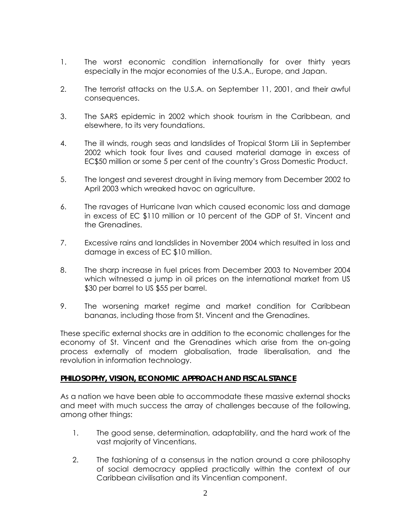- 1. The worst economic condition internationally for over thirty years especially in the major economies of the U.S.A., Europe, and Japan.
- 2. The terrorist attacks on the U.S.A. on September 11, 2001, and their awful consequences.
- 3. The SARS epidemic in 2002 which shook tourism in the Caribbean, and elsewhere, to its very foundations.
- 4. The ill winds, rough seas and landslides of Tropical Storm Lili in September 2002 which took four lives and caused material damage in excess of EC\$50 million or some 5 per cent of the country's Gross Domestic Product.
- 5. The longest and severest drought in living memory from December 2002 to April 2003 which wreaked havoc on agriculture.
- 6. The ravages of Hurricane Ivan which caused economic loss and damage in excess of EC \$110 million or 10 percent of the GDP of St. Vincent and the Grenadines.
- 7. Excessive rains and landslides in November 2004 which resulted in loss and damage in excess of EC \$10 million.
- 8. The sharp increase in fuel prices from December 2003 to November 2004 which witnessed a jump in oil prices on the international market from US \$30 per barrel to US \$55 per barrel.
- 9. The worsening market regime and market condition for Caribbean bananas, including those from St. Vincent and the Grenadines.

These specific external shocks are in addition to the economic challenges for the economy of St. Vincent and the Grenadines which arise from the on-going process externally of modern globalisation, trade liberalisation, and the revolution in information technology.

## **PHILOSOPHY, VISION, ECONOMIC APPROACH AND FISCAL STANCE**

As a nation we have been able to accommodate these massive external shocks and meet with much success the array of challenges because of the following, among other things:

- 1. The good sense, determination, adaptability, and the hard work of the vast majority of Vincentians.
- 2. The fashioning of a consensus in the nation around a core philosophy of social democracy applied practically within the context of our Caribbean civilisation and its Vincentian component.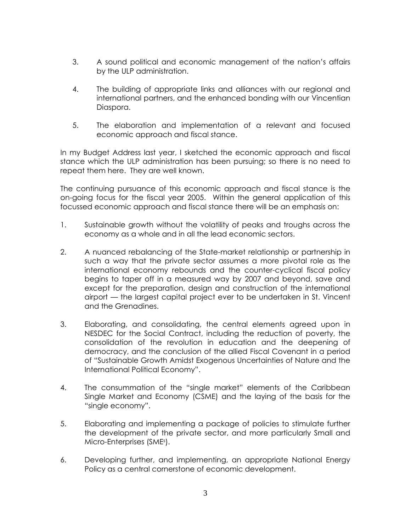- 3. A sound political and economic management of the nation's affairs by the ULP administration.
- 4. The building of appropriate links and alliances with our regional and international partners, and the enhanced bonding with our Vincentian Diaspora.
- 5. The elaboration and implementation of a relevant and focused economic approach and fiscal stance.

In my Budget Address last year, I sketched the economic approach and fiscal stance which the ULP administration has been pursuing; so there is no need to repeat them here. They are well known.

The continuing pursuance of this economic approach and fiscal stance is the on-going focus for the fiscal year 2005. Within the general application of this focussed economic approach and fiscal stance there will be an emphasis on:

- 1. Sustainable growth without the volatility of peaks and troughs across the economy as a whole and in all the lead economic sectors.
- 2. A nuanced rebalancing of the State-market relationship or partnership in such a way that the private sector assumes a more pivotal role as the international economy rebounds and the counter-cyclical fiscal policy begins to taper off in a measured way by 2007 and beyond, save and except for the preparation, design and construction of the international airport — the largest capital project ever to be undertaken in St. Vincent and the Grenadines.
- 3. Elaborating, and consolidating, the central elements agreed upon in NESDEC for the Social Contract, including the reduction of poverty, the consolidation of the revolution in education and the deepening of democracy, and the conclusion of the allied Fiscal Covenant in a period of "Sustainable Growth Amidst Exogenous Uncertainties of Nature and the International Political Economy".
- 4. The consummation of the "single market" elements of the Caribbean Single Market and Economy (CSME) and the laying of the basis for the "single economy".
- 5. Elaborating and implementing a package of policies to stimulate further the development of the private sector, and more particularly Small and Micro-Enterprises (SMEs ).
- 6. Developing further, and implementing, an appropriate National Energy Policy as a central cornerstone of economic development.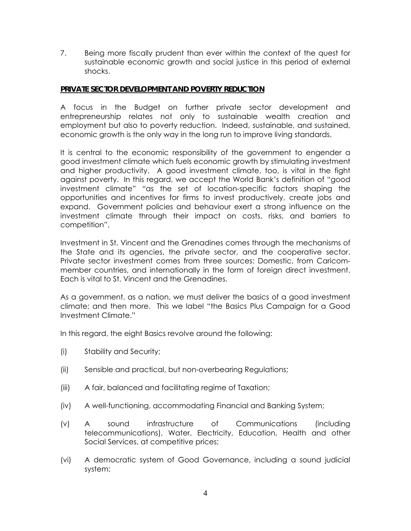7. Being more fiscally prudent than ever within the context of the quest for sustainable economic growth and social justice in this period of external shocks.

### **PRIVATE SECTOR DEVELOPMENT AND POVERTY REDUCTION**

A focus in the Budget on further private sector development and entrepreneurship relates not only to sustainable wealth creation and employment but also to poverty reduction. Indeed, sustainable, and sustained, economic growth is the only way in the long run to improve living standards.

It is central to the economic responsibility of the government to engender a good investment climate which fuels economic growth by stimulating investment and higher productivity. A good investment climate, too, is vital in the fight against poverty. In this regard, we accept the World Bank's definition of "good investment climate" "as the set of location-specific factors shaping the opportunities and incentives for firms to invest productively, create jobs and expand. Government policies and behaviour exert a strong influence on the investment climate through their impact on costs, risks, and barriers to competition".

Investment in St. Vincent and the Grenadines comes through the mechanisms of the State and its agencies, the private sector, and the cooperative sector. Private sector investment comes from three sources: Domestic, from Caricommember countries, and internationally in the form of foreign direct investment. Each is vital to St. Vincent and the Grenadines.

As a government, as a nation, we must deliver the basics of a good investment climate; and then more. This we label "the Basics Plus Campaign for a Good Investment Climate."

In this regard, the eight Basics revolve around the following:

- (i) Stability and Security;
- (ii) Sensible and practical, but non-overbearing Regulations;
- (iii) A fair, balanced and facilitating regime of Taxation;
- (iv) A well-functioning, accommodating Financial and Banking System;
- (v) A sound infrastructure of Communications (including telecommunications), Water, Electricity, Education, Health and other Social Services, at competitive prices;
- (vi) A democratic system of Good Governance, including a sound judicial system;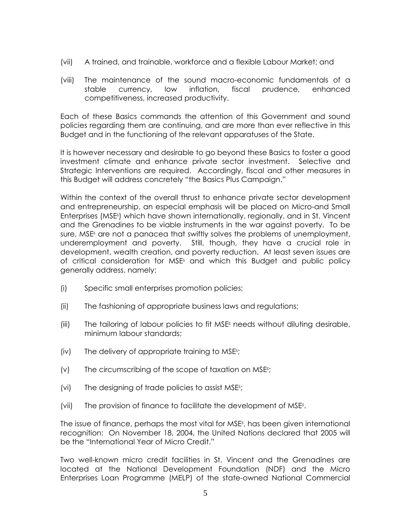- (vii) A trained, and trainable, workforce and a flexible Labour Market; and
- (viii) The maintenance of the sound macro-economic fundamentals of a stable currency, low inflation, fiscal prudence, enhanced competitiveness, increased productivity.

Each of these Basics commands the attention of this Government and sound policies regarding them are continuing, and are more than ever reflective in this Budget and in the functioning of the relevant apparatuses of the State.

It is however necessary and desirable to go beyond these Basics to foster a good investment climate and enhance private sector investment. Selective and Strategic Interventions are required. Accordingly, fiscal and other measures in this Budget will address concretely "the Basics Plus Campaign."

Within the context of the overall thrust to enhance private sector development and entrepreneurship, an especial emphasis will be placed on Micro-and Small Enterprises (MSEs ) which have shown internationally, regionally, and in St. Vincent and the Grenadines to be viable instruments in the war against poverty. To be sure, MSEs are not a panacea that swiftly solves the problems of unemployment, underemployment and poverty. Still, though, they have a crucial role in development, wealth creation, and poverty reduction. At least seven issues are of critical consideration for MSE<sup>s</sup> and which this Budget and public policy generally address, namely:

- (i) Specific small enterprises promotion policies;
- (ii) The fashioning of appropriate business laws and regulations;
- (iii) The tailoring of labour policies to fit MSEs needs without diluting desirable, minimum labour standards;
- (iv) The delivery of appropriate training to MSEs ;
- (v) The circumscribing of the scope of taxation on MSEs ;
- (vi) The designing of trade policies to assist MSEs ;
- (vii) The provision of finance to facilitate the development of MSEs .

The issue of finance, perhaps the most vital for MSEs , has been given international recognition: On November 18, 2004, the United Nations declared that 2005 will be the "International Year of Micro Credit."

Two well-known micro credit facilities in St. Vincent and the Grenadines are located at the National Development Foundation (NDF) and the Micro Enterprises Loan Programme (MELP) of the state-owned National Commercial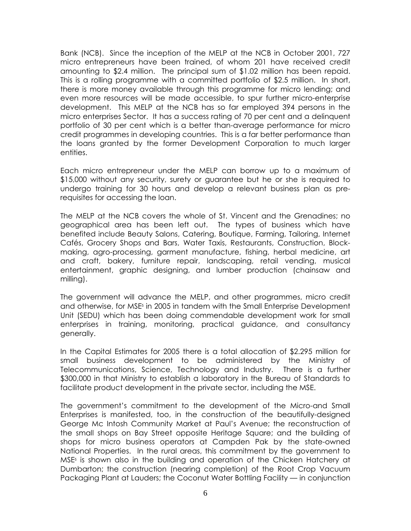Bank (NCB). Since the inception of the MELP at the NCB in October 2001, 727 micro entrepreneurs have been trained, of whom 201 have received credit amounting to \$2.4 million. The principal sum of \$1.02 million has been repaid. This is a rolling programme with a committed portfolio of \$2.5 million. In short, there is more money available through this programme for micro lending; and even more resources will be made accessible, to spur further micro-enterprise development. This MELP at the NCB has so far employed 394 persons in the micro enterprises Sector. It has a success rating of 70 per cent and a delinquent portfolio of 30 per cent which is a better than-average performance for micro credit programmes in developing countries. This is a far better performance than the loans granted by the former Development Corporation to much larger entities.

Each micro entrepreneur under the MELP can borrow up to a maximum of \$15,000 without any security, surety or guarantee but he or she is required to undergo training for 30 hours and develop a relevant business plan as prerequisites for accessing the loan.

The MELP at the NCB covers the whole of St. Vincent and the Grenadines; no geographical area has been left out. The types of business which have benefited include Beauty Salons, Catering, Boutique, Farming, Tailoring, Internet Cafés, Grocery Shops and Bars, Water Taxis, Restaurants, Construction, Blockmaking, agro-processing, garment manufacture, fishing, herbal medicine, art and craft, bakery, furniture repair, landscaping, retail vending, musical entertainment, graphic designing, and lumber production (chainsaw and milling).

The government will advance the MELP, and other programmes, micro credit and otherwise, for MSEs in 2005 in tandem with the Small Enterprise Development Unit (SEDU) which has been doing commendable development work for small enterprises in training, monitoring, practical guidance, and consultancy generally.

In the Capital Estimates for 2005 there is a total allocation of \$2.295 million for small business development to be administered by the Ministry of Telecommunications, Science, Technology and Industry. There is a further \$300,000 in that Ministry to establish a laboratory in the Bureau of Standards to facilitate product development in the private sector, including the MSE.

The government's commitment to the development of the Micro-and Small Enterprises is manifested, too, in the construction of the beautifully-designed George Mc Intosh Community Market at Paul's Avenue; the reconstruction of the small shops on Bay Street opposite Heritage Square; and the building of shops for micro business operators at Campden Pak by the state-owned National Properties. In the rural areas, this commitment by the government to MSEs is shown also in the building and operation of the Chicken Hatchery at Dumbarton; the construction (nearing completion) of the Root Crop Vacuum Packaging Plant at Lauders; the Coconut Water Bottling Facility — in conjunction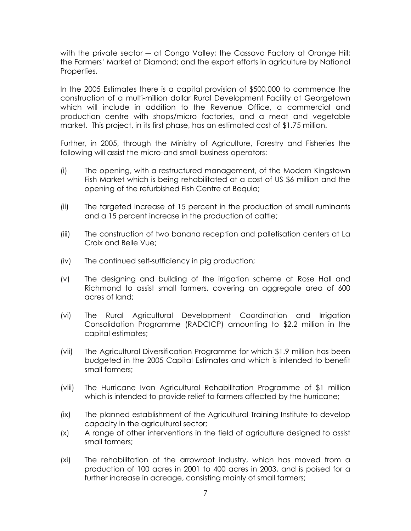with the private sector — at Congo Valley; the Cassava Factory at Orange Hill; the Farmers' Market at Diamond; and the export efforts in agriculture by National Properties.

In the 2005 Estimates there is a capital provision of \$500,000 to commence the construction of a multi-million dollar Rural Development Facility at Georgetown which will include in addition to the Revenue Office, a commercial and production centre with shops/micro factories, and a meat and vegetable market. This project, in its first phase, has an estimated cost of \$1.75 million.

Further, in 2005, through the Ministry of Agriculture, Forestry and Fisheries the following will assist the micro-and small business operators:

- (i) The opening, with a restructured management, of the Modern Kingstown Fish Market which is being rehabilitated at a cost of US \$6 million and the opening of the refurbished Fish Centre at Bequia;
- (ii) The targeted increase of 15 percent in the production of small ruminants and a 15 percent increase in the production of cattle;
- (iii) The construction of two banana reception and palletisation centers at La Croix and Belle Vue;
- (iv) The continued self-sufficiency in pig production;
- (v) The designing and building of the irrigation scheme at Rose Hall and Richmond to assist small farmers, covering an aggregate area of 600 acres of land;
- (vi) The Rural Agricultural Development Coordination and Irrigation Consolidation Programme (RADCICP) amounting to \$2.2 million in the capital estimates;
- (vii) The Agricultural Diversification Programme for which \$1.9 million has been budgeted in the 2005 Capital Estimates and which is intended to benefit small farmers;
- (viii) The Hurricane Ivan Agricultural Rehabilitation Programme of \$1 million which is intended to provide relief to farmers affected by the hurricane;
- (ix) The planned establishment of the Agricultural Training Institute to develop capacity in the agricultural sector;
- (x) A range of other interventions in the field of agriculture designed to assist small farmers;
- (xi) The rehabilitation of the arrowroot industry, which has moved from a production of 100 acres in 2001 to 400 acres in 2003, and is poised for a further increase in acreage, consisting mainly of small farmers;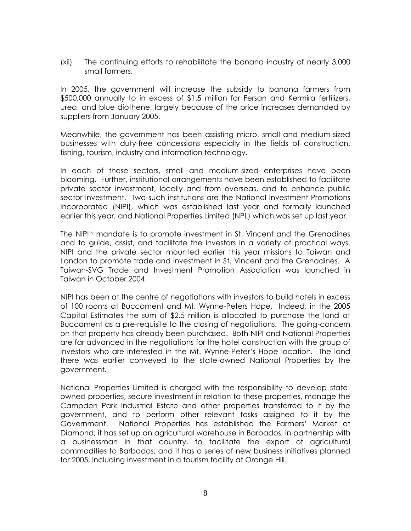(xii) The continuing efforts to rehabilitate the banana industry of nearly 3,000 small farmers.

In 2005, the government will increase the subsidy to banana farmers from \$500,000 annually to in excess of \$1.5 million for Fersan and Kermira fertilizers, urea, and blue diothene, largely because of the price increases demanded by suppliers from January 2005.

Meanwhile, the government has been assisting micro, small and medium-sized businesses with duty-free concessions especially in the fields of construction, fishing, tourism, industry and information technology.

In each of these sectors, small and medium-sized enterprises have been blooming. Further, institutional arrangements have been established to facilitate private sector investment, locally and from overseas, and to enhance public sector investment. Two such institutions are the National Investment Promotions Incorporated (NIPI), which was established last year and formally launched earlier this year, and National Properties Limited (NPL) which was set up last year.

The NIPI's mandate is to promote investment in St. Vincent and the Grenadines and to guide, assist, and facilitate the investors in a variety of practical ways. NIPI and the private sector mounted earlier this year missions to Taiwan and London to promote trade and investment in St. Vincent and the Grenadines. A Taiwan-SVG Trade and Investment Promotion Association was launched in Taiwan in October 2004.

NIPI has been at the centre of negotiations with investors to build hotels in excess of 100 rooms at Buccament and Mt. Wynne-Peters Hope. Indeed, in the 2005 Capital Estimates the sum of \$2.5 million is allocated to purchase the land at Buccament as a pre-requisite to the closing of negotiations. The going-concern on that property has already been purchased. Both NIPI and National Properties are far advanced in the negotiations for the hotel construction with the group of investors who are interested in the Mt. Wynne-Peter's Hope location. The land there was earlier conveyed to the state-owned National Properties by the government.

National Properties Limited is charged with the responsibility to develop stateowned properties, secure investment in relation to these properties, manage the Campden Park Industrial Estate and other properties transferred to it by the government, and to perform other relevant tasks assigned to it by the Government. National Properties has established the Farmers' Market at Diamond; it has set up an agricultural warehouse in Barbados, in partnership with a businessman in that country, to facilitate the export of agricultural commodities to Barbados; and it has a series of new business initiatives planned for 2005, including investment in a tourism facility at Orange Hill.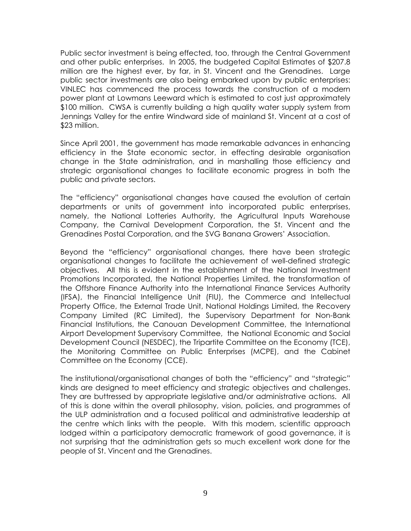Public sector investment is being effected, too, through the Central Government and other public enterprises. In 2005, the budgeted Capital Estimates of \$207.8 million are the highest ever, by far, in St. Vincent and the Grenadines. Large public sector investments are also being embarked upon by public enterprises: VINLEC has commenced the process towards the construction of a modern power plant at Lowmans Leeward which is estimated to cost just approximately \$100 million. CWSA is currently building a high quality water supply system from Jennings Valley for the entire Windward side of mainland St. Vincent at a cost of \$23 million.

Since April 2001, the government has made remarkable advances in enhancing efficiency in the State economic sector, in effecting desirable organisation change in the State administration, and in marshalling those efficiency and strategic organisational changes to facilitate economic progress in both the public and private sectors.

The "efficiency" organisational changes have caused the evolution of certain departments or units of government into incorporated public enterprises, namely, the National Lotteries Authority, the Agricultural Inputs Warehouse Company, the Carnival Development Corporation, the St. Vincent and the Grenadines Postal Corporation, and the SVG Banana Growers' Association.

Beyond the "efficiency" organisational changes, there have been strategic organisational changes to facilitate the achievement of well-defined strategic objectives. All this is evident in the establishment of the National Investment Promotions Incorporated, the National Properties Limited, the transformation of the Offshore Finance Authority into the International Finance Services Authority (IFSA), the Financial Intelligence Unit (FIU), the Commerce and Intellectual Property Office, the External Trade Unit, National Holdings Limited, the Recovery Company Limited (RC Limited), the Supervisory Department for Non-Bank Financial Institutions, the Canouan Development Committee, the International Airport Development Supervisory Committee, the National Economic and Social Development Council (NESDEC), the Tripartite Committee on the Economy (TCE), the Monitoring Committee on Public Enterprises (MCPE), and the Cabinet Committee on the Economy (CCE).

The institutional/organisational changes of both the "efficiency" and "strategic" kinds are designed to meet efficiency and strategic objectives and challenges. They are buttressed by appropriate legislative and/or administrative actions. All of this is done within the overall philosophy, vision, policies, and programmes of the ULP administration and a focused political and administrative leadership at the centre which links with the people. With this modern, scientific approach lodged within a participatory democratic framework of good governance, it is not surprising that the administration gets so much excellent work done for the people of St. Vincent and the Grenadines.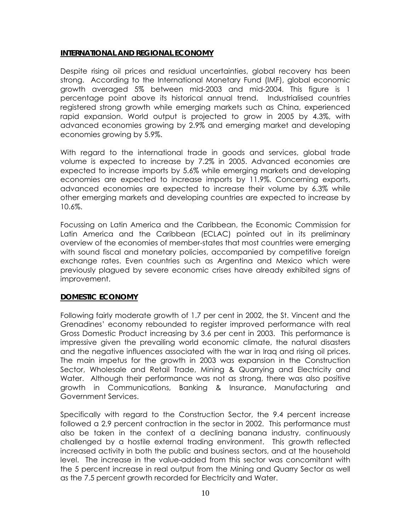### **INTERNATIONAL AND REGIONAL ECONOMY**

Despite rising oil prices and residual uncertainties, global recovery has been strong. According to the International Monetary Fund (IMF), global economic growth averaged 5% between mid-2003 and mid-2004. This figure is 1 percentage point above its historical annual trend. Industrialised countries registered strong growth while emerging markets such as China, experienced rapid expansion. World output is projected to grow in 2005 by 4.3%, with advanced economies growing by 2.9% and emerging market and developing economies growing by 5.9%.

With regard to the international trade in goods and services, global trade volume is expected to increase by 7.2% in 2005. Advanced economies are expected to increase imports by 5.6% while emerging markets and developing economies are expected to increase imports by 11.9%. Concerning exports, advanced economies are expected to increase their volume by 6.3% while other emerging markets and developing countries are expected to increase by 10.6%.

Focussing on Latin America and the Caribbean, the Economic Commission for Latin America and the Caribbean (ECLAC) pointed out in its preliminary overview of the economies of member-states that most countries were emerging with sound fiscal and monetary policies, accompanied by competitive foreign exchange rates. Even countries such as Argentina and Mexico which were previously plagued by severe economic crises have already exhibited signs of improvement.

### **DOMESTIC ECONOMY**

Following fairly moderate growth of 1.7 per cent in 2002, the St. Vincent and the Grenadines' economy rebounded to register improved performance with real Gross Domestic Product increasing by 3.6 per cent in 2003. This performance is impressive given the prevailing world economic climate, the natural disasters and the negative influences associated with the war in Iraq and rising oil prices. The main impetus for the growth in 2003 was expansion in the Construction Sector, Wholesale and Retail Trade, Mining & Quarrying and Electricity and Water. Although their performance was not as strong, there was also positive growth in Communications, Banking & Insurance, Manufacturing and Government Services.

Specifically with regard to the Construction Sector, the 9.4 percent increase followed a 2.9 percent contraction in the sector in 2002. This performance must also be taken in the context of a declining banana industry, continuously challenged by a hostile external trading environment. This growth reflected increased activity in both the public and business sectors, and at the household level. The increase in the value-added from this sector was concomitant with the 5 percent increase in real output from the Mining and Quarry Sector as well as the 7.5 percent growth recorded for Electricity and Water.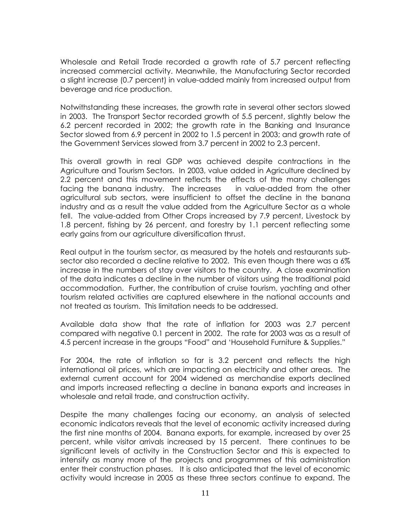Wholesale and Retail Trade recorded a growth rate of 5.7 percent reflecting increased commercial activity. Meanwhile, the Manufacturing Sector recorded a slight increase (0.7 percent) in value-added mainly from increased output from beverage and rice production.

Notwithstanding these increases, the growth rate in several other sectors slowed in 2003. The Transport Sector recorded growth of 5.5 percent, slightly below the 6.2 percent recorded in 2002; the growth rate in the Banking and Insurance Sector slowed from 6.9 percent in 2002 to 1.5 percent in 2003; and growth rate of the Government Services slowed from 3.7 percent in 2002 to 2.3 percent.

This overall growth in real GDP was achieved despite contractions in the Agriculture and Tourism Sectors. In 2003, value added in Agriculture declined by 2.2 percent and this movement reflects the effects of the many challenges facing the banana industry. The increases in value-added from the other agricultural sub sectors, were insufficient to offset the decline in the banana industry and as a result the value added from the Agriculture Sector as a whole fell. The value-added from Other Crops increased by 7.9 percent, Livestock by 1.8 percent, fishing by 26 percent, and forestry by 1.1 percent reflecting some early gains from our agriculture diversification thrust.

Real output in the tourism sector, as measured by the hotels and restaurants subsector also recorded a decline relative to 2002. This even though there was a 6% increase in the numbers of stay over visitors to the country. A close examination of the data indicates a decline in the number of visitors using the traditional paid accommodation. Further, the contribution of cruise tourism, yachting and other tourism related activities are captured elsewhere in the national accounts and not treated as tourism. This limitation needs to be addressed.

Available data show that the rate of inflation for 2003 was 2.7 percent compared with negative 0.1 percent in 2002. The rate for 2003 was as a result of 4.5 percent increase in the groups "Food" and 'Household Furniture & Supplies."

For 2004, the rate of inflation so far is 3.2 percent and reflects the high international oil prices, which are impacting on electricity and other areas. The external current account for 2004 widened as merchandise exports declined and imports increased reflecting a decline in banana exports and increases in wholesale and retail trade, and construction activity.

Despite the many challenges facing our economy, an analysis of selected economic indicators reveals that the level of economic activity increased during the first nine months of 2004. Banana exports, for example, increased by over 25 percent, while visitor arrivals increased by 15 percent. There continues to be significant levels of activity in the Construction Sector and this is expected to intensify as many more of the projects and programmes of this administration enter their construction phases. It is also anticipated that the level of economic activity would increase in 2005 as these three sectors continue to expand. The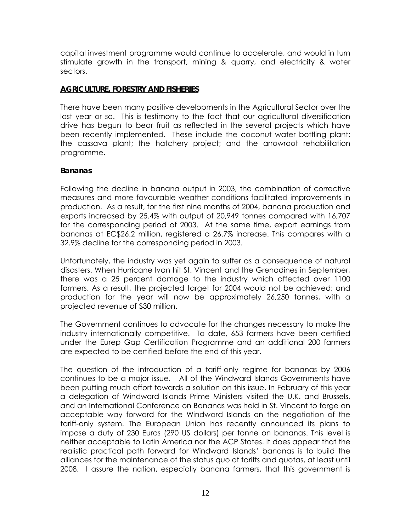capital investment programme would continue to accelerate, and would in turn stimulate growth in the transport, mining & quarry, and electricity & water sectors.

### **AGRICULTURE, FORESTRY AND FISHERIES**

There have been many positive developments in the Agricultural Sector over the last year or so. This is testimony to the fact that our agricultural diversification drive has begun to bear fruit as reflected in the several projects which have been recently implemented. These include the coconut water bottling plant; the cassava plant; the hatchery project; and the arrowroot rehabilitation programme.

### **Bananas**

Following the decline in banana output in 2003, the combination of corrective measures and more favourable weather conditions facilitated improvements in production. As a result, for the first nine months of 2004, banana production and exports increased by 25.4% with output of 20,949 tonnes compared with 16,707 for the corresponding period of 2003. At the same time, export earnings from bananas at EC\$26.2 million, registered a 26.7% increase. This compares with a 32.9% decline for the corresponding period in 2003.

Unfortunately, the industry was yet again to suffer as a consequence of natural disasters. When Hurricane Ivan hit St. Vincent and the Grenadines in September, there was a 25 percent damage to the industry which affected over 1100 farmers. As a result, the projected target for 2004 would not be achieved; and production for the year will now be approximately 26,250 tonnes, with a projected revenue of \$30 million.

The Government continues to advocate for the changes necessary to make the industry internationally competitive. To date, 653 farmers have been certified under the Eurep Gap Certification Programme and an additional 200 farmers are expected to be certified before the end of this year.

The question of the introduction of a tariff-only regime for bananas by 2006 continues to be a major issue. All of the Windward Islands Governments have been putting much effort towards a solution on this issue. In February of this year a delegation of Windward Islands Prime Ministers visited the U.K. and Brussels, and an International Conference on Bananas was held in St. Vincent to forge an acceptable way forward for the Windward Islands on the negotiation of the tariff-only system. The European Union has recently announced its plans to impose a duty of 230 Euros (290 US dollars) per tonne on bananas. This level is neither acceptable to Latin America nor the ACP States. It does appear that the realistic practical path forward for Windward Islands' bananas is to build the alliances for the maintenance of the status quo of tariffs and quotas, at least until 2008. I assure the nation, especially banana farmers, that this government is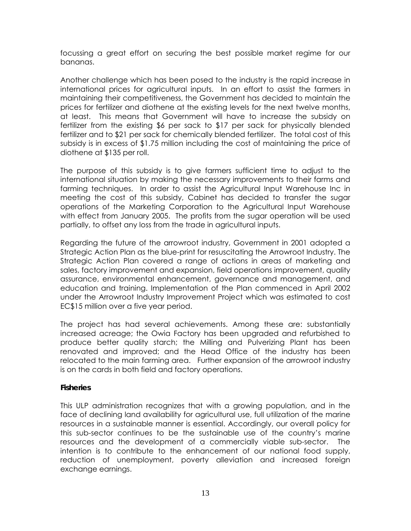focussing a great effort on securing the best possible market regime for our bananas.

Another challenge which has been posed to the industry is the rapid increase in international prices for agricultural inputs. In an effort to assist the farmers in maintaining their competitiveness, the Government has decided to maintain the prices for fertilizer and diothene at the existing levels for the next twelve months, at least. This means that Government will have to increase the subsidy on fertilizer from the existing \$6 per sack to \$17 per sack for physically blended fertilizer and to \$21 per sack for chemically blended fertilizer. The total cost of this subsidy is in excess of \$1.75 million including the cost of maintaining the price of diothene at \$135 per roll.

The purpose of this subsidy is to give farmers sufficient time to adjust to the international situation by making the necessary improvements to their farms and farming techniques. In order to assist the Agricultural Input Warehouse Inc in meeting the cost of this subsidy, Cabinet has decided to transfer the sugar operations of the Marketing Corporation to the Agricultural Input Warehouse with effect from January 2005. The profits from the sugar operation will be used partially, to offset any loss from the trade in agricultural inputs.

Regarding the future of the arrowroot industry, Government in 2001 adopted a Strategic Action Plan as the blue-print for resuscitating the Arrowroot Industry. The Strategic Action Plan covered a range of actions in areas of marketing and sales, factory improvement and expansion, field operations improvement, quality assurance, environmental enhancement, governance and management, and education and training. Implementation of the Plan commenced in April 2002 under the Arrowroot Industry Improvement Project which was estimated to cost EC\$15 million over a five year period.

The project has had several achievements. Among these are: substantially increased acreage; the Owia Factory has been upgraded and refurbished to produce better quality starch; the Milling and Pulverizing Plant has been renovated and improved; and the Head Office of the industry has been relocated to the main farming area. Further expansion of the arrowroot industry is on the cards in both field and factory operations.

### **Fisheries**

This ULP administration recognizes that with a growing population, and in the face of declining land availability for agricultural use, full utilization of the marine resources in a sustainable manner is essential. Accordingly, our overall policy for this sub-sector continues to be the sustainable use of the country's marine resources and the development of a commercially viable sub-sector. The intention is to contribute to the enhancement of our national food supply, reduction of unemployment, poverty alleviation and increased foreign exchange earnings.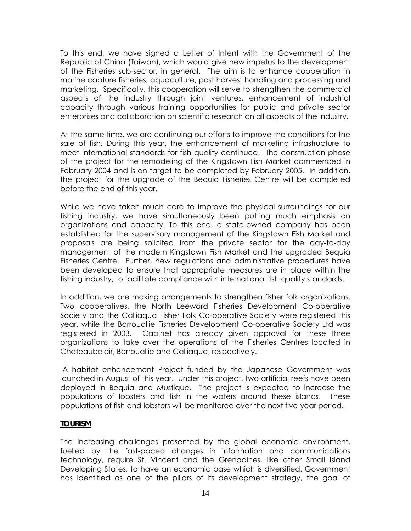To this end, we have signed a Letter of Intent with the Government of the Republic of China (Taiwan), which would give new impetus to the development of the Fisheries sub-sector, in general. The aim is to enhance cooperation in marine capture fisheries, aquaculture, post harvest handling and processing and marketing. Specifically, this cooperation will serve to strengthen the commercial aspects of the industry through joint ventures, enhancement of industrial capacity through various training opportunities for public and private sector enterprises and collaboration on scientific research on all aspects of the industry.

At the same time, we are continuing our efforts to improve the conditions for the sale of fish. During this year, the enhancement of marketing infrastructure to meet international standards for fish quality continued. The construction phase of the project for the remodeling of the Kingstown Fish Market commenced in February 2004 and is on target to be completed by February 2005. In addition, the project for the upgrade of the Bequia Fisheries Centre will be completed before the end of this year.

While we have taken much care to improve the physical surroundings for our fishing industry, we have simultaneously been putting much emphasis on organizations and capacity. To this end, a state-owned company has been established for the supervisory management of the Kingstown Fish Market and proposals are being solicited from the private sector for the day-to-day management of the modern Kingstown Fish Market and the upgraded Bequia Fisheries Centre. Further, new regulations and administrative procedures have been developed to ensure that appropriate measures are in place within the fishing industry, to facilitate compliance with international fish quality standards.

In addition, we are making arrangements to strengthen fisher folk organizations. Two cooperatives, the North Leeward Fisheries Development Co-operative Society and the Calliaqua Fisher Folk Co-operative Society were registered this year, while the Barrouallie Fisheries Development Co-operative Society Ltd was registered in 2003. Cabinet has already given approval for these three organizations to take over the operations of the Fisheries Centres located in Chateaubelair, Barrouallie and Calliaqua, respectively.

A habitat enhancement Project funded by the Japanese Government was launched in August of this year. Under this project, two artificial reefs have been deployed in Bequia and Mustique. The project is expected to increase the populations of lobsters and fish in the waters around these islands. These populations of fish and lobsters will be monitored over the next five-year period.

### **TOURISM**

The increasing challenges presented by the global economic environment, fuelled by the fast-paced changes in information and communications technology, require St. Vincent and the Grenadines, like other Small Island Developing States, to have an economic base which is diversified. Government has identified as one of the pillars of its development strategy, the goal of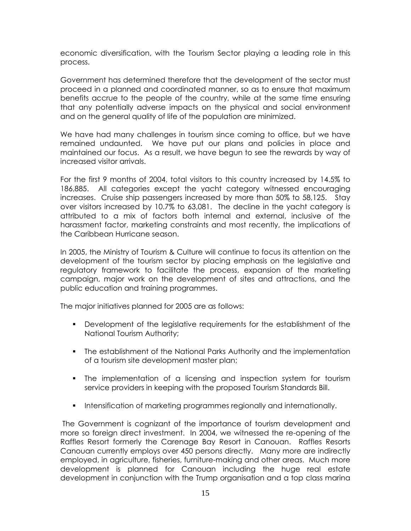economic diversification, with the Tourism Sector playing a leading role in this process.

Government has determined therefore that the development of the sector must proceed in a planned and coordinated manner, so as to ensure that maximum benefits accrue to the people of the country, while at the same time ensuring that any potentially adverse impacts on the physical and social environment and on the general quality of life of the population are minimized.

We have had many challenges in tourism since coming to office, but we have remained undaunted. We have put our plans and policies in place and maintained our focus. As a result, we have begun to see the rewards by way of increased visitor arrivals.

For the first 9 months of 2004, total visitors to this country increased by 14.5% to 186,885. All categories except the yacht category witnessed encouraging increases. Cruise ship passengers increased by more than 50% to 58,125. Stay over visitors increased by 10.7% to 63,081. The decline in the yacht category is attributed to a mix of factors both internal and external, inclusive of the harassment factor, marketing constraints and most recently, the implications of the Caribbean Hurricane season.

In 2005, the Ministry of Tourism & Culture will continue to focus its attention on the development of the tourism sector by placing emphasis on the legislative and regulatory framework to facilitate the process, expansion of the marketing campaign, major work on the development of sites and attractions, and the public education and training programmes.

The major initiatives planned for 2005 are as follows:

- Development of the legislative requirements for the establishment of the National Tourism Authority;
- The establishment of the National Parks Authority and the implementation of a tourism site development master plan;
- The implementation of a licensing and inspection system for tourism service providers in keeping with the proposed Tourism Standards Bill.
- **Intensification of marketing programmes regionally and internationally.**

The Government is cognizant of the importance of tourism development and more so foreign direct investment. In 2004, we witnessed the re-opening of the Raffles Resort formerly the Carenage Bay Resort in Canouan. Raffles Resorts Canouan currently employs over 450 persons directly. Many more are indirectly employed, in agriculture, fisheries, furniture-making and other areas. Much more development is planned for Canouan including the huge real estate development in conjunction with the Trump organisation and a top class marina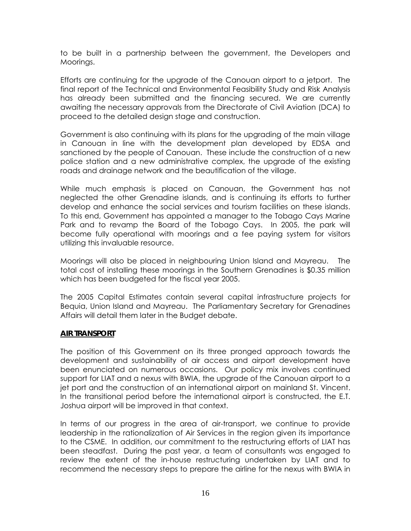to be built in a partnership between the government, the Developers and Moorings.

Efforts are continuing for the upgrade of the Canouan airport to a jetport. The final report of the Technical and Environmental Feasibility Study and Risk Analysis has already been submitted and the financing secured. We are currently awaiting the necessary approvals from the Directorate of Civil Aviation (DCA) to proceed to the detailed design stage and construction.

Government is also continuing with its plans for the upgrading of the main village in Canouan in line with the development plan developed by EDSA and sanctioned by the people of Canouan. These include the construction of a new police station and a new administrative complex, the upgrade of the existing roads and drainage network and the beautification of the village.

While much emphasis is placed on Canouan, the Government has not neglected the other Grenadine islands, and is continuing its efforts to further develop and enhance the social services and tourism facilities on these islands. To this end, Government has appointed a manager to the Tobago Cays Marine Park and to revamp the Board of the Tobago Cays. In 2005, the park will become fully operational with moorings and a fee paying system for visitors utilizing this invaluable resource.

Moorings will also be placed in neighbouring Union Island and Mayreau. The total cost of installing these moorings in the Southern Grenadines is \$0.35 million which has been budgeted for the fiscal year 2005.

The 2005 Capital Estimates contain several capital infrastructure projects for Bequia, Union Island and Mayreau. The Parliamentary Secretary for Grenadines Affairs will detail them later in the Budget debate.

### **AIR TRANSPORT**

The position of this Government on its three pronged approach towards the development and sustainability of air access and airport development have been enunciated on numerous occasions. Our policy mix involves continued support for LIAT and a nexus with BWIA, the upgrade of the Canouan airport to a jet port and the construction of an international airport on mainland St. Vincent. In the transitional period before the international airport is constructed, the E.T. Joshua airport will be improved in that context.

In terms of our progress in the area of air-transport, we continue to provide leadership in the rationalization of Air Services in the region given its importance to the CSME. In addition, our commitment to the restructuring efforts of LIAT has been steadfast. During the past year, a team of consultants was engaged to review the extent of the in-house restructuring undertaken by LIAT and to recommend the necessary steps to prepare the airline for the nexus with BWIA in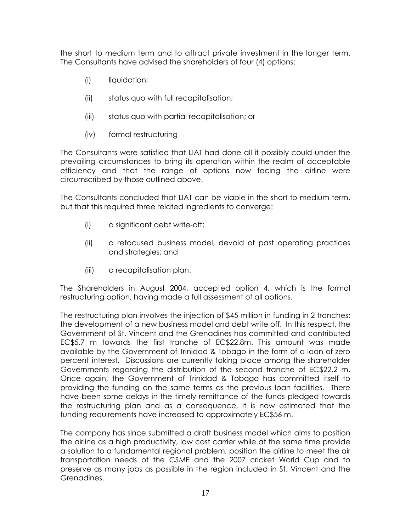the short to medium term and to attract private investment in the longer term. The Consultants have advised the shareholders of four (4) options:

- (i) liquidation;
- (ii) status quo with full recapitalisation;
- (iii) status quo with partial recapitalisation; or
- (iv) formal restructuring

The Consultants were satisfied that LIAT had done all it possibly could under the prevailing circumstances to bring its operation within the realm of acceptable efficiency and that the range of options now facing the airline were circumscribed by those outlined above.

The Consultants concluded that LIAT can be viable in the short to medium term, but that this required three related ingredients to converge:

- (i) a significant debt write-off;
- (ii) a refocused business model, devoid of past operating practices and strategies; and
- (iii) a recapitalisation plan.

The Shareholders in August 2004, accepted option 4, which is the formal restructuring option, having made a full assessment of all options.

The restructuring plan involves the injection of \$45 million in funding in 2 tranches; the development of a new business model and debt write off. In this respect, the Government of St. Vincent and the Grenadines has committed and contributed EC\$5.7 m towards the first tranche of EC\$22.8m. This amount was made available by the Government of Trinidad & Tobago in the form of a loan of zero percent interest. Discussions are currently taking place among the shareholder Governments regarding the distribution of the second tranche of EC\$22.2 m. Once again, the Government of Trinidad & Tobago has committed itself to providing the funding on the same terms as the previous loan facilities. There have been some delays in the timely remittance of the funds pledged towards the restructuring plan and as a consequence, it is now estimated that the funding requirements have increased to approximately EC\$56 m.

The company has since submitted a draft business model which aims to position the airline as a high productivity, low cost carrier while at the same time provide a solution to a fundamental regional problem; position the airline to meet the air transportation needs of the CSME and the 2007 cricket World Cup and to preserve as many jobs as possible in the region included in St. Vincent and the Grenadines.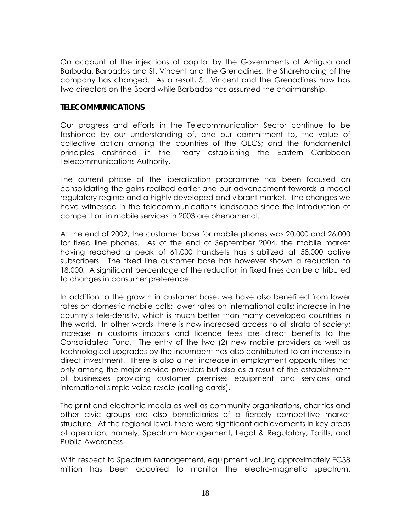On account of the injections of capital by the Governments of Antigua and Barbuda, Barbados and St. Vincent and the Grenadines, the Shareholding of the company has changed. As a result, St. Vincent and the Grenadines now has two directors on the Board while Barbados has assumed the chairmanship.

#### **TELECOMMUNICATIONS**

Our progress and efforts in the Telecommunication Sector continue to be fashioned by our understanding of, and our commitment to, the value of collective action among the countries of the OECS; and the fundamental principles enshrined in the Treaty establishing the Eastern Caribbean Telecommunications Authority.

The current phase of the liberalization programme has been focused on consolidating the gains realized earlier and our advancement towards a model regulatory regime and a highly developed and vibrant market. The changes we have witnessed in the telecommunications landscape since the introduction of competition in mobile services in 2003 are phenomenal.

At the end of 2002, the customer base for mobile phones was 20,000 and 26,000 for fixed line phones. As of the end of September 2004, the mobile market having reached a peak of 61,000 handsets has stabilized at 58,000 active subscribers. The fixed line customer base has however shown a reduction to 18,000. A significant percentage of the reduction in fixed lines can be attributed to changes in consumer preference.

In addition to the growth in customer base, we have also benefited from lower rates on domestic mobile calls; lower rates on international calls; increase in the country's tele-density, which is much better than many developed countries in the world. In other words, there is now increased access to all strata of society; increase in customs imposts and licence fees are direct benefits to the Consolidated Fund. The entry of the two (2) new mobile providers as well as technological upgrades by the incumbent has also contributed to an increase in direct investment. There is also a net increase in employment opportunities not only among the major service providers but also as a result of the establishment of businesses providing customer premises equipment and services and international simple voice resale (calling cards).

The print and electronic media as well as community organizations, charities and other civic groups are also beneficiaries of a fiercely competitive market structure. At the regional level, there were significant achievements in key areas of operation, namely, Spectrum Management, Legal & Regulatory, Tariffs, and Public Awareness.

With respect to Spectrum Management, equipment valuing approximately EC\$8 million has been acquired to monitor the electro-magnetic spectrum.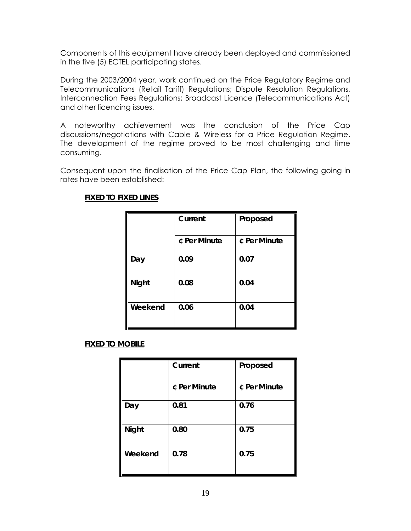Components of this equipment have already been deployed and commissioned in the five (5) ECTEL participating states.

During the 2003/2004 year, work continued on the Price Regulatory Regime and Telecommunications (Retail Tariff) Regulations; Dispute Resolution Regulations, Interconnection Fees Regulations; Broadcast Licence (Telecommunications Act) and other licencing issues.

A noteworthy achievement was the conclusion of the Price Cap discussions/negotiations with Cable & Wireless for a Price Regulation Regime. The development of the regime proved to be most challenging and time consuming.

Consequent upon the finalisation of the Price Cap Plan, the following going-in rates have been established:

|              | Current      | Proposed     |
|--------------|--------------|--------------|
|              | ¢ Per Minute | ¢ Per Minute |
| Day          | 0.09         | 0.07         |
| <b>Night</b> | 0.08         | 0.04         |
| Weekend      | 0.06         | 0.04         |

## **FIXED TO FIXED LINES**

### **FIXED TO MOBILE**

|              | Current      | Proposed     |
|--------------|--------------|--------------|
|              | ¢ Per Minute | ¢ Per Minute |
| Day          | 0.81         | 0.76         |
| <b>Night</b> | 0.80         | 0.75         |
| Weekend      | 0.78         | 0.75         |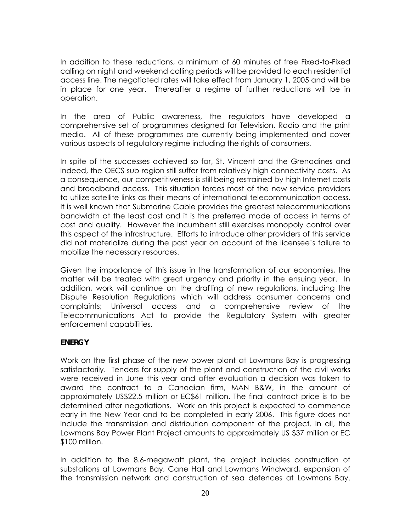In addition to these reductions, a minimum of 60 minutes of free Fixed-to-Fixed calling on night and weekend calling periods will be provided to each residential access line. The negotiated rates will take effect from January 1, 2005 and will be in place for one year. Thereafter a regime of further reductions will be in operation.

In the area of Public awareness, the regulators have developed a comprehensive set of programmes designed for Television, Radio and the print media. All of these programmes are currently being implemented and cover various aspects of regulatory regime including the rights of consumers.

In spite of the successes achieved so far, St. Vincent and the Grenadines and indeed, the OECS sub-region still suffer from relatively high connectivity costs. As a consequence, our competitiveness is still being restrained by high Internet costs and broadband access. This situation forces most of the new service providers to utilize satellite links as their means of international telecommunication access. It is well known that Submarine Cable provides the greatest telecommunications bandwidth at the least cost and it is the preferred mode of access in terms of cost and quality. However the incumbent still exercises monopoly control over this aspect of the infrastructure. Efforts to introduce other providers of this service did not materialize during the past year on account of the licensee's failure to mobilize the necessary resources.

Given the importance of this issue in the transformation of our economies, the matter will be treated with great urgency and priority in the ensuing year. In addition, work will continue on the drafting of new regulations, including the Dispute Resolution Regulations which will address consumer concerns and complaints; Universal access and a comprehensive review of the Telecommunications Act to provide the Regulatory System with greater enforcement capabilities.

## **ENERGY**

Work on the first phase of the new power plant at Lowmans Bay is progressing satisfactorily. Tenders for supply of the plant and construction of the civil works were received in June this year and after evaluation a decision was taken to award the contract to a Canadian firm, MAN B&W, in the amount of approximately US\$22.5 million or EC\$61 million. The final contract price is to be determined after negotiations. Work on this project is expected to commence early in the New Year and to be completed in early 2006. This figure does not include the transmission and distribution component of the project. In all, the Lowmans Bay Power Plant Project amounts to approximately US \$37 million or EC \$100 million.

In addition to the 8.6-megawatt plant, the project includes construction of substations at Lowmans Bay, Cane Hall and Lowmans Windward, expansion of the transmission network and construction of sea defences at Lowmans Bay.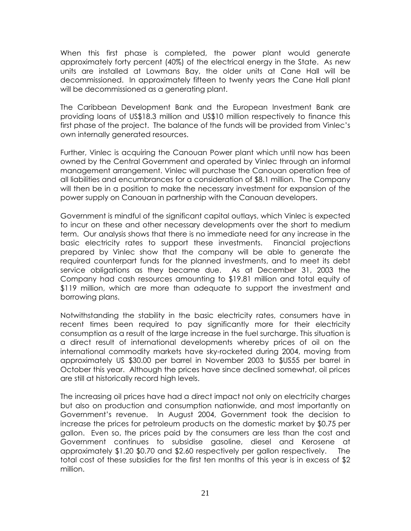When this first phase is completed, the power plant would generate approximately forty percent (40%) of the electrical energy in the State. As new units are installed at Lowmans Bay, the older units at Cane Hall will be decommissioned. In approximately fifteen to twenty years the Cane Hall plant will be decommissioned as a generating plant.

The Caribbean Development Bank and the European Investment Bank are providing loans of US\$18.3 million and US\$10 million respectively to finance this first phase of the project. The balance of the funds will be provided from Vinlec's own internally generated resources.

Further, Vinlec is acquiring the Canouan Power plant which until now has been owned by the Central Government and operated by Vinlec through an informal management arrangement. Vinlec will purchase the Canouan operation free of all liabilities and encumbrances for a consideration of \$8.1 million. The Company will then be in a position to make the necessary investment for expansion of the power supply on Canouan in partnership with the Canouan developers.

Government is mindful of the significant capital outlays, which Vinlec is expected to incur on these and other necessary developments over the short to medium term. Our analysis shows that there is no immediate need for any increase in the basic electricity rates to support these investments. Financial projections prepared by Vinlec show that the company will be able to generate the required counterpart funds for the planned investments, and to meet its debt service obligations as they became due. As at December 31, 2003 the Company had cash resources amounting to \$19.81 million and total equity of \$119 million, which are more than adequate to support the investment and borrowing plans.

Notwithstanding the stability in the basic electricity rates, consumers have in recent times been required to pay significantly more for their electricity consumption as a result of the large increase in the fuel surcharge. This situation is a direct result of international developments whereby prices of oil on the international commodity markets have sky-rocketed during 2004, moving from approximately US \$30.00 per barrel in November 2003 to \$US55 per barrel in October this year. Although the prices have since declined somewhat, oil prices are still at historically record high levels.

The increasing oil prices have had a direct impact not only on electricity charges but also on production and consumption nationwide, and most importantly on Government's revenue. In August 2004, Government took the decision to increase the prices for petroleum products on the domestic market by \$0.75 per gallon. Even so, the prices paid by the consumers are less than the cost and Government continues to subsidise gasoline, diesel and Kerosene at approximately \$1.20 \$0.70 and \$2.60 respectively per gallon respectively. The total cost of these subsidies for the first ten months of this year is in excess of \$2 million.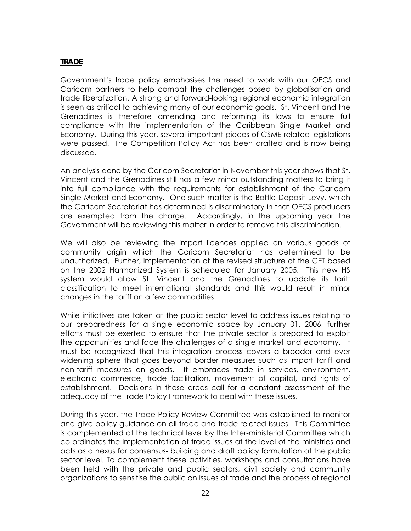# **TRADE**

Government's trade policy emphasises the need to work with our OECS and Caricom partners to help combat the challenges posed by globalisation and trade liberalization. A strong and forward-looking regional economic integration is seen as critical to achieving many of our economic goals. St. Vincent and the Grenadines is therefore amending and reforming its laws to ensure full compliance with the implementation of the Caribbean Single Market and Economy. During this year, several important pieces of CSME related legislations were passed. The Competition Policy Act has been drafted and is now being discussed.

An analysis done by the Caricom Secretariat in November this year shows that St. Vincent and the Grenadines still has a few minor outstanding matters to bring it into full compliance with the requirements for establishment of the Caricom Single Market and Economy. One such matter is the Bottle Deposit Levy, which the Caricom Secretariat has determined is discriminatory in that OECS producers are exempted from the charge. Accordingly, in the upcoming year the Government will be reviewing this matter in order to remove this discrimination.

We will also be reviewing the import licences applied on various goods of community origin which the Caricom Secretariat has determined to be unauthorized. Further, implementation of the revised structure of the CET based on the 2002 Harmonized System is scheduled for January 2005. This new HS system would allow St. Vincent and the Grenadines to update its tariff classification to meet international standards and this would result in minor changes in the tariff on a few commodities.

While initiatives are taken at the public sector level to address issues relating to our preparedness for a single economic space by January 01, 2006, further efforts must be exerted to ensure that the private sector is prepared to exploit the opportunities and face the challenges of a single market and economy. It must be recognized that this integration process covers a broader and ever widening sphere that goes beyond border measures such as import tariff and non-tariff measures on goods. It embraces trade in services, environment, electronic commerce, trade facilitation, movement of capital, and rights of establishment. Decisions in these areas call for a constant assessment of the adequacy of the Trade Policy Framework to deal with these issues.

During this year, the Trade Policy Review Committee was established to monitor and give policy guidance on all trade and trade-related issues. This Committee is complemented at the technical level by the Inter-ministerial Committee which co-ordinates the implementation of trade issues at the level of the ministries and acts as a nexus for consensus- building and draft policy formulation at the public sector level. To complement these activities, workshops and consultations have been held with the private and public sectors, civil society and community organizations to sensitise the public on issues of trade and the process of regional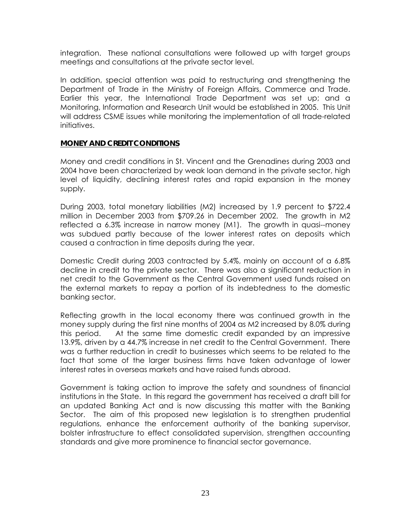integration. These national consultations were followed up with target groups meetings and consultations at the private sector level.

In addition, special attention was paid to restructuring and strengthening the Department of Trade in the Ministry of Foreign Affairs, Commerce and Trade. Earlier this year, the International Trade Department was set up; and a Monitoring, Information and Research Unit would be established in 2005. This Unit will address CSME issues while monitoring the implementation of all trade-related initiatives.

### **MONEY AND CREDIT CONDITIONS**

Money and credit conditions in St. Vincent and the Grenadines during 2003 and 2004 have been characterized by weak loan demand in the private sector, high level of liquidity, declining interest rates and rapid expansion in the money supply.

During 2003, total monetary liabilities (M2) increased by 1.9 percent to \$722.4 million in December 2003 from \$709.26 in December 2002. The growth in M2 reflected a 6.3% increase in narrow money (M1). The growth in quasi--money was subdued partly because of the lower interest rates on deposits which caused a contraction in time deposits during the year.

Domestic Credit during 2003 contracted by 5.4%, mainly on account of a 6.8% decline in credit to the private sector. There was also a significant reduction in net credit to the Government as the Central Government used funds raised on the external markets to repay a portion of its indebtedness to the domestic banking sector.

Reflecting growth in the local economy there was continued growth in the money supply during the first nine months of 2004 as M2 increased by 8.0% during this period. At the same time domestic credit expanded by an impressive 13.9%, driven by a 44.7% increase in net credit to the Central Government. There was a further reduction in credit to businesses which seems to be related to the fact that some of the larger business firms have taken advantage of lower interest rates in overseas markets and have raised funds abroad.

Government is taking action to improve the safety and soundness of financial institutions in the State. In this regard the government has received a draft bill for an updated Banking Act and is now discussing this matter with the Banking Sector. The aim of this proposed new legislation is to strengthen prudential regulations, enhance the enforcement authority of the banking supervisor, bolster infrastructure to effect consolidated supervision, strengthen accounting standards and give more prominence to financial sector governance.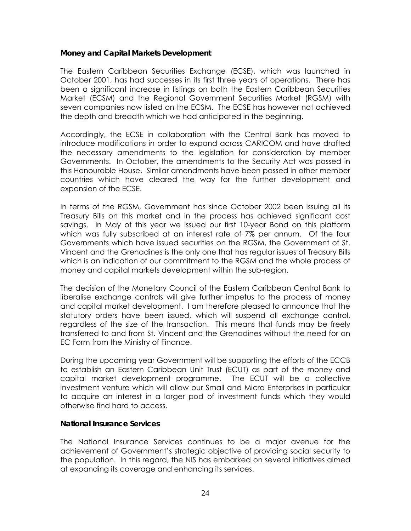### **Money and Capital Markets Development**

The Eastern Caribbean Securities Exchange (ECSE), which was launched in October 2001, has had successes in its first three years of operations. There has been a significant increase in listings on both the Eastern Caribbean Securities Market (ECSM) and the Regional Government Securities Market (RGSM) with seven companies now listed on the ECSM. The ECSE has however not achieved the depth and breadth which we had anticipated in the beginning.

Accordingly, the ECSE in collaboration with the Central Bank has moved to introduce modifications in order to expand across CARICOM and have drafted the necessary amendments to the legislation for consideration by member Governments. In October, the amendments to the Security Act was passed in this Honourable House. Similar amendments have been passed in other member countries which have cleared the way for the further development and expansion of the ECSE.

In terms of the RGSM, Government has since October 2002 been issuing all its Treasury Bills on this market and in the process has achieved significant cost savings. In May of this year we issued our first 10-year Bond on this platform which was fully subscribed at an interest rate of 7% per annum. Of the four Governments which have issued securities on the RGSM, the Government of St. Vincent and the Grenadines is the only one that has regular issues of Treasury Bills which is an indication of our commitment to the RGSM and the whole process of money and capital markets development within the sub-region.

The decision of the Monetary Council of the Eastern Caribbean Central Bank to liberalise exchange controls will give further impetus to the process of money and capital market development. I am therefore pleased to announce that the statutory orders have been issued, which will suspend all exchange control, regardless of the size of the transaction. This means that funds may be freely transferred to and from St. Vincent and the Grenadines without the need for an EC Form from the Ministry of Finance.

During the upcoming year Government will be supporting the efforts of the ECCB to establish an Eastern Caribbean Unit Trust (ECUT) as part of the money and capital market development programme. The ECUT will be a collective investment venture which will allow our Small and Micro Enterprises in particular to acquire an interest in a larger pod of investment funds which they would otherwise find hard to access.

### **National Insurance Services**

The National Insurance Services continues to be a major avenue for the achievement of Government's strategic objective of providing social security to the population. In this regard, the NIS has embarked on several initiatives aimed at expanding its coverage and enhancing its services.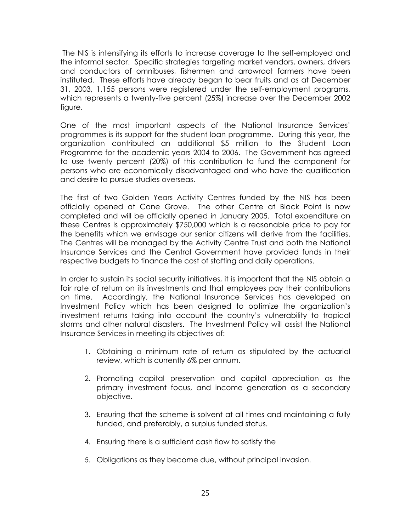The NIS is intensifying its efforts to increase coverage to the self-employed and the informal sector. Specific strategies targeting market vendors, owners, drivers and conductors of omnibuses, fishermen and arrowroot farmers have been instituted. These efforts have already began to bear fruits and as at December 31, 2003, 1,155 persons were registered under the self-employment programs, which represents a twenty-five percent (25%) increase over the December 2002 figure.

One of the most important aspects of the National Insurance Services' programmes is its support for the student loan programme. During this year, the organization contributed an additional \$5 million to the Student Loan Programme for the academic years 2004 to 2006. The Government has agreed to use twenty percent (20%) of this contribution to fund the component for persons who are economically disadvantaged and who have the qualification and desire to pursue studies overseas.

The first of two Golden Years Activity Centres funded by the NIS has been officially opened at Cane Grove. The other Centre at Black Point is now completed and will be officially opened in January 2005. Total expenditure on these Centres is approximately \$750,000 which is a reasonable price to pay for the benefits which we envisage our senior citizens will derive from the facilities. The Centres will be managed by the Activity Centre Trust and both the National Insurance Services and the Central Government have provided funds in their respective budgets to finance the cost of staffing and daily operations.

In order to sustain its social security initiatives, it is important that the NIS obtain a fair rate of return on its investments and that employees pay their contributions on time. Accordingly, the National Insurance Services has developed an Investment Policy which has been designed to optimize the organization's investment returns taking into account the country's vulnerability to tropical storms and other natural disasters. The Investment Policy will assist the National Insurance Services in meeting its objectives of:

- 1. Obtaining a minimum rate of return as stipulated by the actuarial review, which is currently 6% per annum.
- 2. Promoting capital preservation and capital appreciation as the primary investment focus, and income generation as a secondary objective.
- 3. Ensuring that the scheme is solvent at all times and maintaining a fully funded, and preferably, a surplus funded status.
- 4. Ensuring there is a sufficient cash flow to satisfy the
- 5. Obligations as they become due, without principal invasion.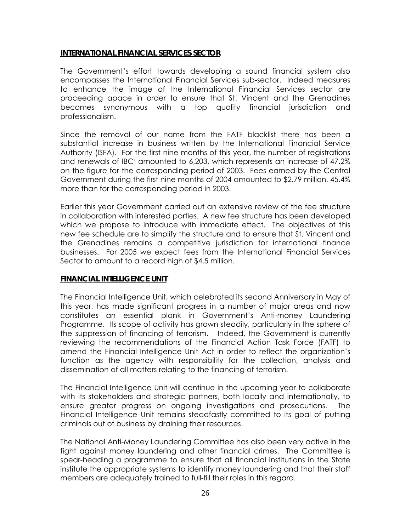### **INTERNATIONAL FINANCIAL SERVICES SECTOR**

The Government's effort towards developing a sound financial system also encompasses the International Financial Services sub-sector. Indeed measures to enhance the image of the International Financial Services sector are proceeding apace in order to ensure that St. Vincent and the Grenadines becomes synonymous with a top quality financial jurisdiction and professionalism.

Since the removal of our name from the FATF blacklist there has been a substantial increase in business written by the International Financial Service Authority (ISFA). For the first nine months of this year, the number of registrations and renewals of IBC<sup>s</sup> amounted to 6,203, which represents an increase of 47.2% on the figure for the corresponding period of 2003. Fees earned by the Central Government during the first nine months of 2004 amounted to \$2.79 million, 45.4% more than for the corresponding period in 2003.

Earlier this year Government carried out an extensive review of the fee structure in collaboration with interested parties. A new fee structure has been developed which we propose to introduce with immediate effect. The objectives of this new fee schedule are to simplify the structure and to ensure that St. Vincent and the Grenadines remains a competitive jurisdiction for international finance businesses. For 2005 we expect fees from the International Financial Services Sector to amount to a record high of \$4.5 million.

### **FINANCIAL INTELLIGENCE UNIT**

The Financial Intelligence Unit, which celebrated its second Anniversary in May of this year, has made significant progress in a number of major areas and now constitutes an essential plank in Government's Anti-money Laundering Programme. Its scope of activity has grown steadily, particularly in the sphere of the suppression of financing of terrorism. Indeed, the Government is currently reviewing the recommendations of the Financial Action Task Force (FATF) to amend the Financial Intelligence Unit Act in order to reflect the organization's function as the agency with responsibility for the collection, analysis and dissemination of all matters relating to the financing of terrorism.

The Financial Intelligence Unit will continue in the upcoming year to collaborate with its stakeholders and strategic partners, both locally and internationally, to ensure greater progress on ongoing investigations and prosecutions. The Financial Intelligence Unit remains steadfastly committed to its goal of putting criminals out of business by draining their resources.

The National Anti-Money Laundering Committee has also been very active in the fight against money laundering and other financial crimes. The Committee is spear-heading a programme to ensure that all financial institutions in the State institute the appropriate systems to identify money laundering and that their staff members are adequately trained to full-fill their roles in this regard.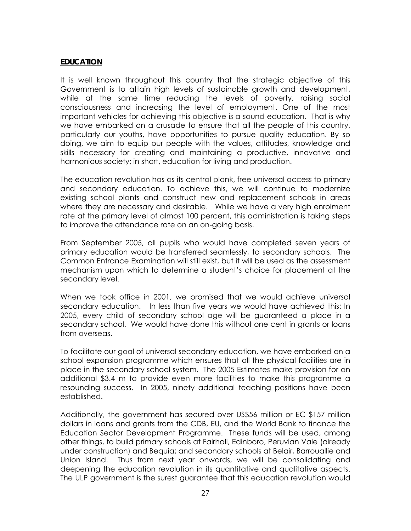### **EDUCATION**

It is well known throughout this country that the strategic objective of this Government is to attain high levels of sustainable growth and development, while at the same time reducing the levels of poverty, raising social consciousness and increasing the level of employment. One of the most important vehicles for achieving this objective is a sound education. That is why we have embarked on a crusade to ensure that all the people of this country, particularly our youths, have opportunities to pursue quality education. By so doing, we aim to equip our people with the values, attitudes, knowledge and skills necessary for creating and maintaining a productive, innovative and harmonious society; in short, education for living and production.

The education revolution has as its central plank, free universal access to primary and secondary education. To achieve this, we will continue to modernize existing school plants and construct new and replacement schools in areas where they are necessary and desirable. While we have a very high enrolment rate at the primary level of almost 100 percent, this administration is taking steps to improve the attendance rate on an on-going basis.

From September 2005, all pupils who would have completed seven years of primary education would be transferred seamlessly, to secondary schools. The Common Entrance Examination will still exist, but it will be used as the assessment mechanism upon which to determine a student's choice for placement at the secondary level.

When we took office in 2001, we promised that we would achieve universal secondary education. In less than five years we would have achieved this: In 2005, every child of secondary school age will be guaranteed a place in a secondary school. We would have done this without one cent in grants or loans from overseas.

To facilitate our goal of universal secondary education, we have embarked on a school expansion programme which ensures that all the physical facilities are in place in the secondary school system. The 2005 Estimates make provision for an additional \$3.4 m to provide even more facilities to make this programme a resounding success. In 2005, ninety additional teaching positions have been established.

Additionally, the government has secured over US\$56 million or EC \$157 million dollars in loans and grants from the CDB, EU, and the World Bank to finance the Education Sector Development Programme. These funds will be used, among other things, to build primary schools at Fairhall, Edinboro, Peruvian Vale (already under construction) and Bequia; and secondary schools at Belair, Barrouallie and Union Island. Thus from next year onwards, we will be consolidating and deepening the education revolution in its quantitative and qualitative aspects. The ULP government is the surest guarantee that this education revolution would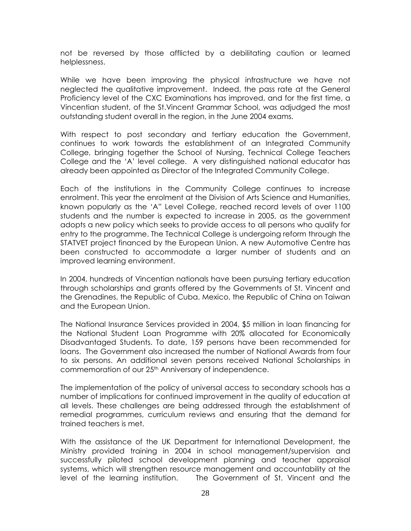not be reversed by those afflicted by a debilitating caution or learned helplessness.

While we have been improving the physical infrastructure we have not neglected the qualitative improvement. Indeed, the pass rate at the General Proficiency level of the CXC Examinations has improved, and for the first time, a Vincentian student, of the St.Vincent Grammar School, was adjudged the most outstanding student overall in the region, in the June 2004 exams.

With respect to post secondary and tertiary education the Government, continues to work towards the establishment of an Integrated Community College, bringing together the School of Nursing, Technical College Teachers College and the 'A' level college. A very distinguished national educator has already been appointed as Director of the Integrated Community College.

Each of the institutions in the Community College continues to increase enrolment. This year the enrolment at the Division of Arts Science and Humanities, known popularly as the 'A" Level College, reached record levels of over 1100 students and the number is expected to increase in 2005, as the government adopts a new policy which seeks to provide access to all persons who qualify for entry to the programme. The Technical College is undergoing reform through the STATVET project financed by the European Union. A new Automotive Centre has been constructed to accommodate a larger number of students and an improved learning environment.

In 2004, hundreds of Vincentian nationals have been pursuing tertiary education through scholarships and grants offered by the Governments of St. Vincent and the Grenadines, the Republic of Cuba, Mexico, the Republic of China on Taiwan and the European Union.

The National Insurance Services provided in 2004, \$5 million in loan financing for the National Student Loan Programme with 20% allocated for Economically Disadvantaged Students. To date, 159 persons have been recommended for loans. The Government also increased the number of National Awards from four to six persons. An additional seven persons received National Scholarships in commemoration of our 25<sup>th</sup> Anniversary of independence.

The implementation of the policy of universal access to secondary schools has a number of implications for continued improvement in the quality of education at all levels. These challenges are being addressed through the establishment of remedial programmes, curriculum reviews and ensuring that the demand for trained teachers is met.

With the assistance of the UK Department for International Development, the Ministry provided training in 2004 in school management/supervision and successfully piloted school development planning and teacher appraisal systems, which will strengthen resource management and accountability at the level of the learning institution. The Government of St. Vincent and the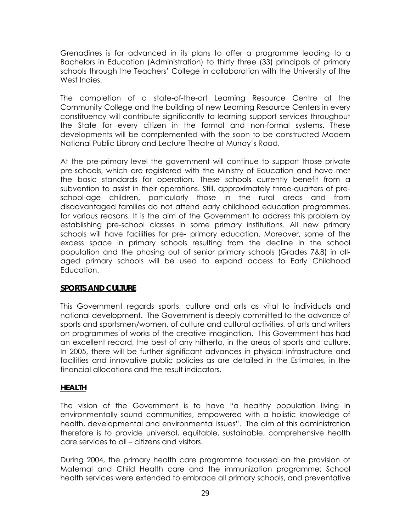Grenadines is far advanced in its plans to offer a programme leading to a Bachelors in Education (Administration) to thirty three (33) principals of primary schools through the Teachers' College in collaboration with the University of the West Indies.

The completion of a state-of-the-art Learning Resource Centre at the Community College and the building of new Learning Resource Centers in every constituency will contribute significantly to learning support services throughout the State for every citizen in the formal and non-formal systems. These developments will be complemented with the soon to be constructed Modern National Public Library and Lecture Theatre at Murray's Road.

At the pre-primary level the government will continue to support those private pre-schools, which are registered with the Ministry of Education and have met the basic standards for operation. These schools currently benefit from a subvention to assist in their operations. Still, approximately three-quarters of preschool-age children, particularly those in the rural areas and from disadvantaged families do not attend early childhood education programmes, for various reasons. It is the aim of the Government to address this problem by establishing pre-school classes in some primary institutions. All new primary schools will have facilities for pre- primary education. Moreover, some of the excess space in primary schools resulting from the decline in the school population and the phasing out of senior primary schools (Grades 7&8) in allaged primary schools will be used to expand access to Early Childhood Education.

### **SPORTS AND CULTURE**

This Government regards sports, culture and arts as vital to individuals and national development. The Government is deeply committed to the advance of sports and sportsmen/women, of culture and cultural activities, of arts and writers on programmes of works of the creative imagination. This Government has had an excellent record, the best of any hitherto, in the areas of sports and culture. In 2005, there will be further significant advances in physical infrastructure and facilities and innovative public policies as are detailed in the Estimates, in the financial allocations and the result indicators.

### **HEALTH**

The vision of the Government is to have "a healthy population living in environmentally sound communities, empowered with a holistic knowledge of health, developmental and environmental issues". The aim of this administration therefore is to provide universal, equitable, sustainable, comprehensive health care services to all – citizens and visitors.

During 2004, the primary health care programme focussed on the provision of Maternal and Child Health care and the immunization programme; School health services were extended to embrace all primary schools, and preventative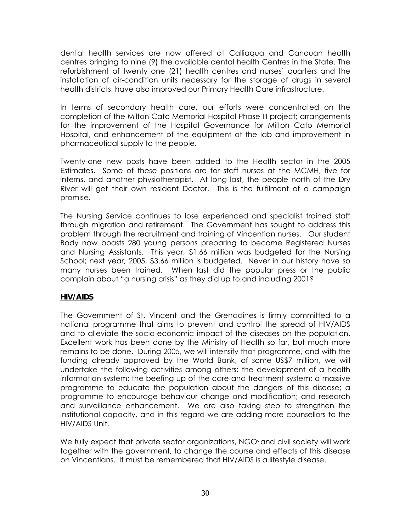dental health services are now offered at Calliaqua and Canouan health centres bringing to nine (9) the available dental health Centres in the State. The refurbishment of twenty one (21) health centres and nurses' quarters and the installation of air-condition units necessary for the storage of drugs in several health districts, have also improved our Primary Health Care infrastructure.

In terms of secondary health care, our efforts were concentrated on the completion of the Milton Cato Memorial Hospital Phase III project; arrangements for the improvement of the Hospital Governance for Milton Cato Memorial Hospital, and enhancement of the equipment at the lab and improvement in pharmaceutical supply to the people.

Twenty-one new posts have been added to the Health sector in the 2005 Estimates. Some of these positions are for staff nurses at the MCMH, five for interns, and another physiotherapist. At long last, the people north of the Dry River will get their own resident Doctor. This is the fulfilment of a campaign promise.

The Nursing Service continues to lose experienced and specialist trained staff through migration and retirement. The Government has sought to address this problem through the recruitment and training of Vincentian nurses. Our student Body now boasts 280 young persons preparing to become Registered Nurses and Nursing Assistants. This year, \$1.66 million was budgeted for the Nursing School; next year, 2005, \$3.66 million is budgeted. Never in our history have so many nurses been trained. When last did the popular press or the public complain about "a nursing crisis" as they did up to and including 2001?

## **HIV/AIDS**

The Government of St. Vincent and the Grenadines is firmly committed to a national programme that aims to prevent and control the spread of HIV/AIDS and to alleviate the socio-economic impact of the diseases on the population. Excellent work has been done by the Ministry of Health so far, but much more remains to be done. During 2005, we will intensify that programme, and with the funding already approved by the World Bank, of some US\$7 million, we will undertake the following activities among others: the development of a health information system; the beefing up of the care and treatment system; a massive programme to educate the population about the dangers of this disease; a programme to encourage behaviour change and modification; and research and surveillance enhancement. We are also taking step to strengthen the institutional capacity, and in this regard we are adding more counsellors to the HIV/AIDS Unit.

We fully expect that private sector organizations, NGO<sup>s</sup> and civil society will work together with the government, to change the course and effects of this disease on Vincentians. It must be remembered that HIV/AIDS is a lifestyle disease.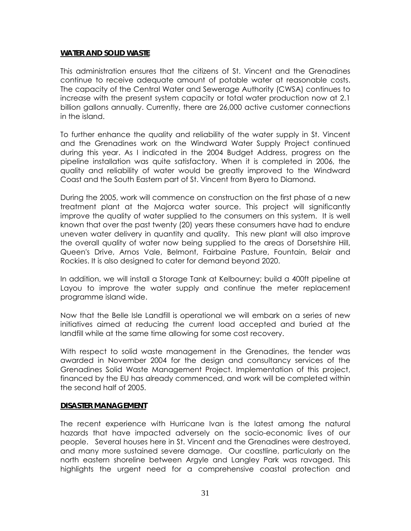### **WATER AND SOLID WASTE**

This administration ensures that the citizens of St. Vincent and the Grenadines continue to receive adequate amount of potable water at reasonable costs. The capacity of the Central Water and Sewerage Authority (CWSA) continues to increase with the present system capacity or total water production now at 2.1 billion gallons annually. Currently, there are 26,000 active customer connections in the island.

To further enhance the quality and reliability of the water supply in St. Vincent and the Grenadines work on the Windward Water Supply Project continued during this year. As I indicated in the 2004 Budget Address, progress on the pipeline installation was quite satisfactory. When it is completed in 2006, the quality and reliability of water would be greatly improved to the Windward Coast and the South Eastern part of St. Vincent from Byera to Diamond.

During the 2005, work will commence on construction on the first phase of a new treatment plant at the Majorca water source. This project will significantly improve the quality of water supplied to the consumers on this system. It is well known that over the past twenty (20) years these consumers have had to endure uneven water delivery in quantity and quality. This new plant will also improve the overall quality of water now being supplied to the areas of Dorsetshire Hill, Queen's Drive, Arnos Vale, Belmont, Fairbaine Pasture, Fountain, Belair and Rockies. It is also designed to cater for demand beyond 2020.

In addition, we will install a Storage Tank at Kelbourney; build a 400ft pipeline at Layou to improve the water supply and continue the meter replacement programme island wide.

Now that the Belle Isle Landfill is operational we will embark on a series of new initiatives aimed at reducing the current load accepted and buried at the landfill while at the same time allowing for some cost recovery.

With respect to solid waste management in the Grenadines, the tender was awarded in November 2004 for the design and consultancy services of the Grenadines Solid Waste Management Project. Implementation of this project, financed by the EU has already commenced, and work will be completed within the second half of 2005.

### **DISASTER MANAGEMENT**

The recent experience with Hurricane Ivan is the latest among the natural hazards that have impacted adversely on the socio-economic lives of our people. Several houses here in St. Vincent and the Grenadines were destroyed, and many more sustained severe damage. Our coastline, particularly on the north eastern shoreline between Argyle and Langley Park was ravaged. This highlights the urgent need for a comprehensive coastal protection and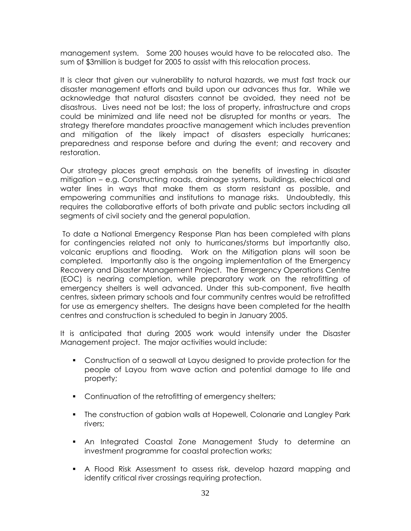management system. Some 200 houses would have to be relocated also. The sum of \$3million is budget for 2005 to assist with this relocation process.

It is clear that given our vulnerability to natural hazards, we must fast track our disaster management efforts and build upon our advances thus far. While we acknowledge that natural disasters cannot be avoided, they need not be disastrous. Lives need not be lost; the loss of property, infrastructure and crops could be minimized and life need not be disrupted for months or years. The strategy therefore mandates proactive management which includes prevention and mitigation of the likely impact of disasters especially hurricanes; preparedness and response before and during the event; and recovery and restoration.

Our strategy places great emphasis on the benefits of investing in disaster mitigation – e.g. Constructing roads, drainage systems, buildings, electrical and water lines in ways that make them as storm resistant as possible, and empowering communities and institutions to manage risks. Undoubtedly, this requires the collaborative efforts of both private and public sectors including all segments of civil society and the general population.

To date a National Emergency Response Plan has been completed with plans for contingencies related not only to hurricanes/storms but importantly also, volcanic eruptions and flooding. Work on the Mitigation plans will soon be completed. Importantly also is the ongoing implementation of the Emergency Recovery and Disaster Management Project. The Emergency Operations Centre (EOC) is nearing completion, while preparatory work on the retrofitting of emergency shelters is well advanced. Under this sub-component, five health centres, sixteen primary schools and four community centres would be retrofitted for use as emergency shelters. The designs have been completed for the health centres and construction is scheduled to begin in January 2005.

It is anticipated that during 2005 work would intensify under the Disaster Management project. The major activities would include:

- Construction of a seawall at Layou designed to provide protection for the people of Layou from wave action and potential damage to life and property;
- Continuation of the retrofitting of emergency shelters;
- The construction of gabion walls at Hopewell, Colonarie and Langley Park rivers;
- An Integrated Coastal Zone Management Study to determine an investment programme for coastal protection works;
- A Flood Risk Assessment to assess risk, develop hazard mapping and identify critical river crossings requiring protection.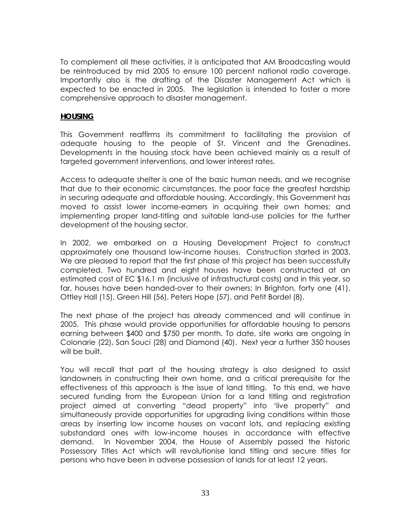To complement all these activities, it is anticipated that AM Broadcasting would be reintroduced by mid 2005 to ensure 100 percent national radio coverage. Importantly also is the drafting of the Disaster Management Act which is expected to be enacted in 2005. The legislation is intended to foster a more comprehensive approach to disaster management.

### **HOUSING**

This Government reaffirms its commitment to facilitating the provision of adequate housing to the people of St. Vincent and the Grenadines. Developments in the housing stock have been achieved mainly as a result of targeted government interventions, and lower interest rates.

Access to adequate shelter is one of the basic human needs, and we recognise that due to their economic circumstances, the poor face the greatest hardship in securing adequate and affordable housing. Accordingly, this Government has moved to assist lower income-earners in acquiring their own homes; and implementing proper land-titling and suitable land-use policies for the further development of the housing sector.

In 2002, we embarked on a Housing Development Project to construct approximately one thousand low-income houses. Construction started in 2003. We are pleased to report that the first phase of this project has been successfully completed. Two hundred and eight houses have been constructed at an estimated cost of EC \$16.1 m (inclusive of infrastructural costs) and in this year, so far, houses have been handed-over to their owners: In Brighton, forty one (41), Ottley Hall (15), Green Hill (56), Peters Hope (57), and Petit Bordel (8).

The next phase of the project has already commenced and will continue in 2005. This phase would provide opportunities for affordable housing to persons earning between \$400 and \$750 per month. To date, site works are ongoing in Colonarie (22), San Souci (28) and Diamond (40). Next year a further 350 houses will be built.

You will recall that part of the housing strategy is also designed to assist landowners in constructing their own home, and a critical prerequisite for the effectiveness of this approach is the issue of land titling. To this end, we have secured funding from the European Union for a land titling and registration project aimed at converting "dead property" into 'live property" and simultaneously provide opportunities for upgrading living conditions within those areas by inserting low income houses on vacant lots, and replacing existing substandard ones with low-income houses in accordance with effective demand. In November 2004, the House of Assembly passed the historic Possessory Titles Act which will revolutionise land titling and secure titles for persons who have been in adverse possession of lands for at least 12 years.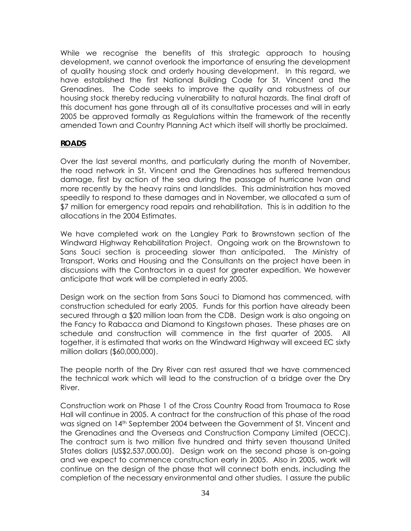While we recognise the benefits of this strategic approach to housing development, we cannot overlook the importance of ensuring the development of quality housing stock and orderly housing development. In this regard, we have established the first National Building Code for St. Vincent and the Grenadines. The Code seeks to improve the quality and robustness of our housing stock thereby reducing vulnerability to natural hazards. The final draft of this document has gone through all of its consultative processes and will in early 2005 be approved formally as Regulations within the framework of the recently amended Town and Country Planning Act which itself will shortly be proclaimed.

### **ROADS**

Over the last several months, and particularly during the month of November, the road network in St. Vincent and the Grenadines has suffered tremendous damage, first by action of the sea during the passage of hurricane Ivan and more recently by the heavy rains and landslides. This administration has moved speedily to respond to these damages and in November, we allocated a sum of \$7 million for emergency road repairs and rehabilitation. This is in addition to the allocations in the 2004 Estimates.

We have completed work on the Langley Park to Brownstown section of the Windward Highway Rehabilitation Project. Ongoing work on the Brownstown to Sans Souci section is proceeding slower than anticipated. The Ministry of Transport, Works and Housing and the Consultants on the project have been in discussions with the Contractors in a quest for greater expedition. We however anticipate that work will be completed in early 2005.

Design work on the section from Sans Souci to Diamond has commenced, with construction scheduled for early 2005. Funds for this portion have already been secured through a \$20 million loan from the CDB. Design work is also ongoing on the Fancy to Rabacca and Diamond to Kingstown phases. These phases are on schedule and construction will commence in the first quarter of 2005. All together, it is estimated that works on the Windward Highway will exceed EC sixty million dollars (\$60,000,000).

The people north of the Dry River can rest assured that we have commenced the technical work which will lead to the construction of a bridge over the Dry River.

Construction work on Phase 1 of the Cross Country Road from Troumaca to Rose Hall will continue in 2005. A contract for the construction of this phase of the road was signed on 14th September 2004 between the Government of St. Vincent and the Grenadines and the Overseas and Construction Company Limited (OECC). The contract sum is two million five hundred and thirty seven thousand United States dollars (US\$2,537,000.00). Design work on the second phase is on-going and we expect to commence construction early in 2005. Also in 2005, work will continue on the design of the phase that will connect both ends, including the completion of the necessary environmental and other studies. I assure the public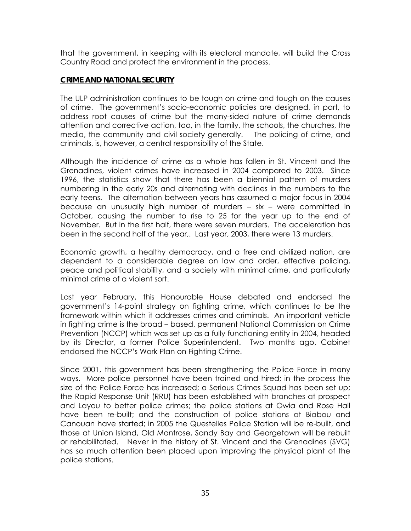that the government, in keeping with its electoral mandate, will build the Cross Country Road and protect the environment in the process.

### **CRIME AND NATIONAL SECURITY**

The ULP administration continues to be tough on crime and tough on the causes of crime. The government's socio-economic policies are designed, in part, to address root causes of crime but the many-sided nature of crime demands attention and corrective action, too, in the family, the schools, the churches, the media, the community and civil society generally. The policing of crime, and criminals, is, however, a central responsibility of the State.

Although the incidence of crime as a whole has fallen in St. Vincent and the Grenadines, violent crimes have increased in 2004 compared to 2003. Since 1996, the statistics show that there has been a biennial pattern of murders numbering in the early 20s and alternating with declines in the numbers to the early teens. The alternation between years has assumed a major focus in 2004 because an unusually high number of murders – six – were committed in October, causing the number to rise to 25 for the year up to the end of November. But in the first half, there were seven murders. The acceleration has been in the second half of the year,. Last year, 2003, there were 13 murders.

Economic growth, a healthy democracy, and a free and civilized nation, are dependent to a considerable degree on law and order, effective policing, peace and political stability, and a society with minimal crime, and particularly minimal crime of a violent sort.

Last year February, this Honourable House debated and endorsed the government's 14-point strategy on fighting crime, which continues to be the framework within which it addresses crimes and criminals. An important vehicle in fighting crime is the broad – based, permanent National Commission on Crime Prevention (NCCP) which was set up as a fully functioning entity in 2004, headed by its Director, a former Police Superintendent. Two months ago, Cabinet endorsed the NCCP's Work Plan on Fighting Crime.

Since 2001, this government has been strengthening the Police Force in many ways. More police personnel have been trained and hired; in the process the size of the Police Force has increased; a Serious Crimes Squad has been set up; the Rapid Response Unit (RRU) has been established with branches at prospect and Layou to better police crimes; the police stations at Owia and Rose Hall have been re-built; and the construction of police stations at Biabou and Canouan have started; in 2005 the Questelles Police Station will be re-built, and those at Union Island, Old Montrose, Sandy Bay and Georgetown will be rebuilt or rehabilitated. Never in the history of St. Vincent and the Grenadines (SVG) has so much attention been placed upon improving the physical plant of the police stations.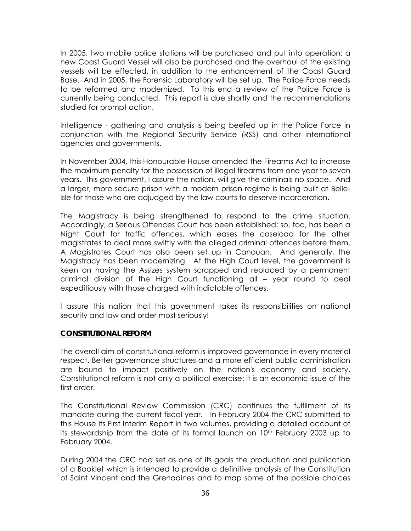In 2005, two mobile police stations will be purchased and put into operation; a new Coast Guard Vessel will also be purchased and the overhaul of the existing vessels will be effected, in addition to the enhancement of the Coast Guard Base. And in 2005, the Forensic Laboratory will be set up. The Police Force needs to be reformed and modernized. To this end a review of the Police Force is currently being conducted. This report is due shortly and the recommendations studied for prompt action.

Intelligence - gathering and analysis is being beefed up in the Police Force in conjunction with the Regional Security Service (RSS) and other international agencies and governments.

In November 2004, this Honourable House amended the Firearms Act to increase the maximum penalty for the possession of illegal firearms from one year to seven years. This government, I assure the nation, will give the criminals no space. And a larger, more secure prison with a modern prison regime is being built at Belle-Isle for those who are adjudged by the law courts to deserve incarceration.

The Magistracy is being strengthened to respond to the crime situation. Accordingly, a Serious Offences Court has been established; so, too, has been a Night Court for traffic offences, which eases the caseload for the other magistrates to deal more swiftly with the alleged criminal offences before them. A Magistrates Court has also been set up in Canouan. And generally, the Magistracy has been modernizing. At the High Court level, the government is keen on having the Assizes system scrapped and replaced by a permanent criminal division of the High Court functioning all – year round to deal expeditiously with those charged with indictable offences.

I assure this nation that this government takes its responsibilities on national security and law and order most seriously!

### **CONSTITUTIONAL REFORM**

The overall aim of constitutional reform is improved governance in every material respect. Better governance structures and a more efficient public administration are bound to impact positively on the nation's economy and society. Constitutional reform is not only a political exercise: it is an economic issue of the first order.

The Constitutional Review Commission (CRC) continues the fulfilment of its mandate during the current fiscal year. In February 2004 the CRC submitted to this House its First Interim Report in two volumes, providing a detailed account of its stewardship from the date of its formal launch on 10<sup>th</sup> February 2003 up to February 2004.

During 2004 the CRC had set as one of its goals the production and publication of a Booklet which is intended to provide a definitive analysis of the Constitution of Saint Vincent and the Grenadines and to map some of the possible choices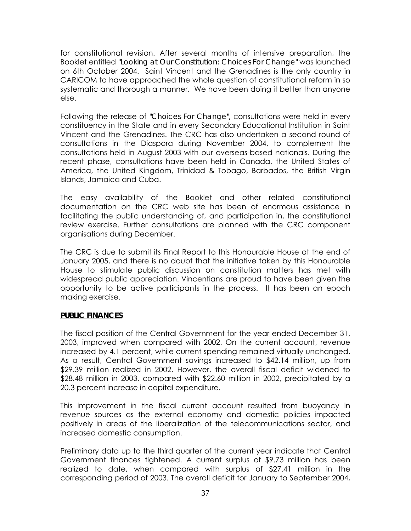for constitutional revision. After several months of intensive preparation, the Booklet entitled *"Looking at Our Constitution: Choices For Change"* was launched on 6th October 2004. Saint Vincent and the Grenadines is the only country in CARICOM to have approached the whole question of constitutional reform in so systematic and thorough a manner. We have been doing it better than anyone else.

Following the release of *"Choices For Change",* consultations were held in every constituency in the State and in every Secondary Educational Institution in Saint Vincent and the Grenadines. The CRC has also undertaken a second round of consultations in the Diaspora during November 2004, to complement the consultations held in August 2003 with our overseas-based nationals. During the recent phase, consultations have been held in Canada, the United States of America, the United Kingdom, Trinidad & Tobago, Barbados, the British Virgin Islands, Jamaica and Cuba.

The easy availability of the Booklet and other related constitutional documentation on the CRC web site has been of enormous assistance in facilitating the public understanding of, and participation in, the constitutional review exercise. Further consultations are planned with the CRC component organisations during December.

The CRC is due to submit its Final Report to this Honourable House at the end of January 2005, and there is no doubt that the initiative taken by this Honourable House to stimulate public discussion on constitution matters has met with widespread public appreciation. Vincentians are proud to have been given the opportunity to be active participants in the process. It has been an epoch making exercise.

## **PUBLIC FINANCES**

The fiscal position of the Central Government for the year ended December 31, 2003, improved when compared with 2002. On the current account, revenue increased by 4.1 percent, while current spending remained virtually unchanged. As a result, Central Government savings increased to \$42.14 million, up from \$29.39 million realized in 2002. However, the overall fiscal deficit widened to \$28.48 million in 2003, compared with \$22.60 million in 2002, precipitated by a 20.3 percent increase in capital expenditure.

This improvement in the fiscal current account resulted from buoyancy in revenue sources as the external economy and domestic policies impacted positively in areas of the liberalization of the telecommunications sector, and increased domestic consumption.

Preliminary data up to the third quarter of the current year indicate that Central Government finances tightened. A current surplus of \$9.73 million has been realized to date, when compared with surplus of \$27.41 million in the corresponding period of 2003. The overall deficit for January to September 2004,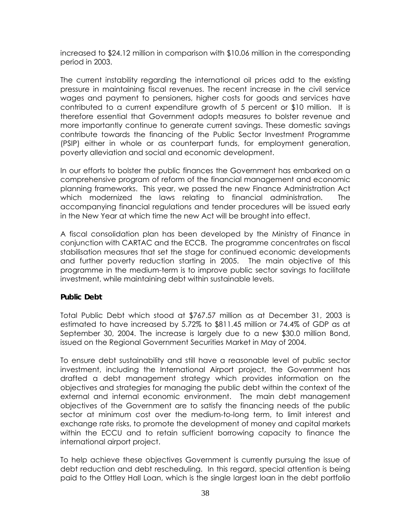increased to \$24.12 million in comparison with \$10.06 million in the corresponding period in 2003.

The current instability regarding the international oil prices add to the existing pressure in maintaining fiscal revenues. The recent increase in the civil service wages and payment to pensioners, higher costs for goods and services have contributed to a current expenditure growth of 5 percent or \$10 million. It is therefore essential that Government adopts measures to bolster revenue and more importantly continue to generate current savings. These domestic savings contribute towards the financing of the Public Sector Investment Programme (PSIP) either in whole or as counterpart funds, for employment generation, poverty alleviation and social and economic development.

In our efforts to bolster the public finances the Government has embarked on a comprehensive program of reform of the financial management and economic planning frameworks. This year, we passed the new Finance Administration Act which modernized the laws relating to financial administration. The accompanying financial regulations and tender procedures will be issued early in the New Year at which time the new Act will be brought into effect.

A fiscal consolidation plan has been developed by the Ministry of Finance in conjunction with CARTAC and the ECCB. The programme concentrates on fiscal stabilisation measures that set the stage for continued economic developments and further poverty reduction starting in 2005. The main objective of this programme in the medium-term is to improve public sector savings to facilitate investment, while maintaining debt within sustainable levels.

## **Public Debt**

Total Public Debt which stood at \$767.57 million as at December 31, 2003 is estimated to have increased by 5.72% to \$811.45 million or 74.4% of GDP as at September 30, 2004. The increase is largely due to a new \$30.0 million Bond, issued on the Regional Government Securities Market in May of 2004.

To ensure debt sustainability and still have a reasonable level of public sector investment, including the International Airport project, the Government has drafted a debt management strategy which provides information on the objectives and strategies for managing the public debt within the context of the external and internal economic environment. The main debt management objectives of the Government are to satisfy the financing needs of the public sector at minimum cost over the medium-to-long term, to limit interest and exchange rate risks, to promote the development of money and capital markets within the ECCU and to retain sufficient borrowing capacity to finance the international airport project.

To help achieve these objectives Government is currently pursuing the issue of debt reduction and debt rescheduling. In this regard, special attention is being paid to the Ottley Hall Loan, which is the single largest loan in the debt portfolio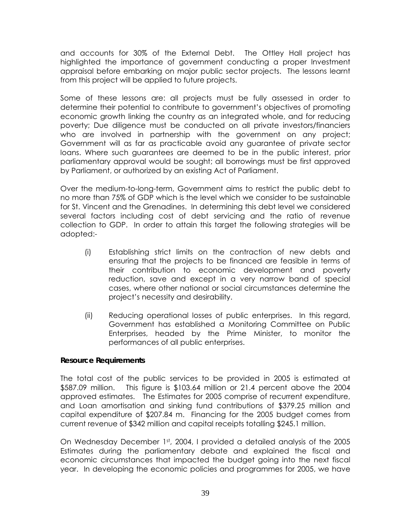and accounts for 30% of the External Debt. The Ottley Hall project has highlighted the importance of government conducting a proper Investment appraisal before embarking on major public sector projects. The lessons learnt from this project will be applied to future projects.

Some of these lessons are: all projects must be fully assessed in order to determine their potential to contribute to government's objectives of promoting economic growth linking the country as an integrated whole, and for reducing poverty; Due diligence must be conducted on all private investors/financiers who are involved in partnership with the government on any project; Government will as far as practicable avoid any guarantee of private sector loans. Where such guarantees are deemed to be in the public interest, prior parliamentary approval would be sought; all borrowings must be first approved by Parliament, or authorized by an existing Act of Parliament.

Over the medium-to-long-term, Government aims to restrict the public debt to no more than 75% of GDP which is the level which we consider to be sustainable for St. Vincent and the Grenadines. In determining this debt level we considered several factors including cost of debt servicing and the ratio of revenue collection to GDP. In order to attain this target the following strategies will be adopted:-

- (i) Establishing strict limits on the contraction of new debts and ensuring that the projects to be financed are feasible in terms of their contribution to economic development and poverty reduction, save and except in a very narrow band of special cases, where other national or social circumstances determine the project's necessity and desirability.
- (ii) Reducing operational losses of public enterprises. In this regard, Government has established a Monitoring Committee on Public Enterprises, headed by the Prime Minister, to monitor the performances of all public enterprises.

### **Resource Requirements**

The total cost of the public services to be provided in 2005 is estimated at \$587.09 million. This figure is \$103.64 million or 21.4 percent above the 2004 approved estimates. The Estimates for 2005 comprise of recurrent expenditure, and Loan amortisation and sinking fund contributions of \$379.25 million and capital expenditure of \$207.84 m. Financing for the 2005 budget comes from current revenue of \$342 million and capital receipts totalling \$245.1 million.

On Wednesday December 1st, 2004, I provided a detailed analysis of the 2005 Estimates during the parliamentary debate and explained the fiscal and economic circumstances that impacted the budget going into the next fiscal year. In developing the economic policies and programmes for 2005, we have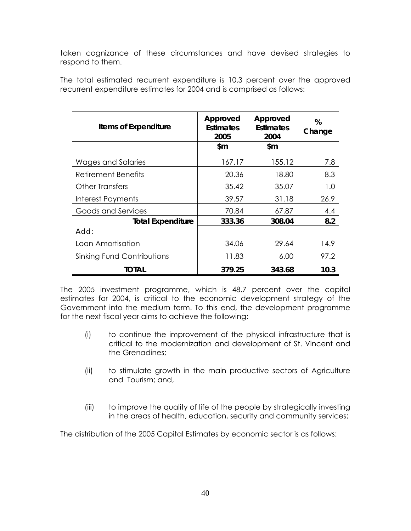taken cognizance of these circumstances and have devised strategies to respond to them.

| <b>Items of Expenditure</b> | Approved<br><b>Estimates</b><br>2005 | Approved<br><b>Estimates</b><br>2004 | %<br>Change |
|-----------------------------|--------------------------------------|--------------------------------------|-------------|
|                             | \$m                                  | \$m                                  |             |
| Wages and Salaries          | 167.17                               | 155.12                               | 7.8         |
| Retirement Benefits         | 20.36                                | 18.80                                | 8.3         |
| <b>Other Transfers</b>      | 35.42                                | 35.07                                | 1.0         |
| Interest Payments           | 39.57                                | 31.18                                | 26.9        |
| Goods and Services          | 70.84                                | 67.87                                | 4.4         |
| <b>Total Expenditure</b>    | 333.36                               | 308.04                               | 8.2         |
| Add:                        |                                      |                                      |             |
| Loan Amortisation           | 34.06                                | 29.64                                | 14.9        |
| Sinking Fund Contributions  | 11.83                                | 6.00                                 | 97.2        |
| TOTAL                       | 379.25                               | 343.68                               | 10.3        |

The total estimated recurrent expenditure is 10.3 percent over the approved recurrent expenditure estimates for 2004 and is comprised as follows:

The 2005 investment programme, which is 48.7 percent over the capital estimates for 2004, is critical to the economic development strategy of the Government into the medium term. To this end, the development programme for the next fiscal year aims to achieve the following:

- (i) to continue the improvement of the physical infrastructure that is critical to the modernization and development of St. Vincent and the Grenadines;
- (ii) to stimulate growth in the main productive sectors of Agriculture and Tourism; and,
- (iii) to improve the quality of life of the people by strategically investing in the areas of health, education, security and community services;

The distribution of the 2005 Capital Estimates by economic sector is as follows: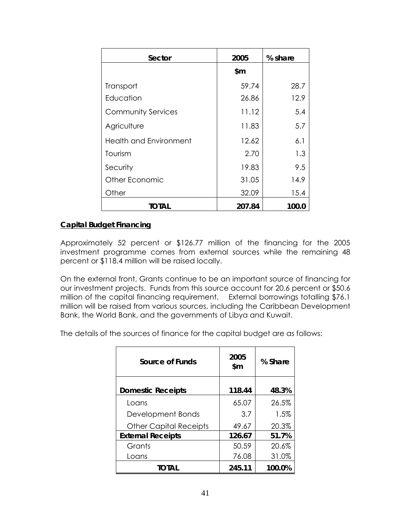| Sector                        | 2005   | % share |
|-------------------------------|--------|---------|
|                               | \$m    |         |
| Transport                     | 59.74  | 28.7    |
| Education                     | 26.86  | 12.9    |
| <b>Community Services</b>     | 11.12  | 5.4     |
| Agriculture                   | 11.83  | 5.7     |
| <b>Health and Environment</b> | 12.62  | 6.1     |
| Tourism                       | 2.70   | 1.3     |
| Security                      | 19.83  | 9.5     |
| Other Economic                | 31.05  | 14.9    |
| Other                         | 32.09  | 15.4    |
| <b>TOTAL</b>                  | 207.84 | 100.0   |

## **Capital Budget Financing**

Approximately 52 percent or \$126.77 million of the financing for the 2005 investment programme comes from external sources while the remaining 48 percent or \$118.4 million will be raised locally.

On the external front, Grants continue to be an important source of financing for our investment projects. Funds from this source account for 20.6 percent or \$50.6 million of the capital financing requirement. External borrowings totalling \$76.1 million will be raised from various sources, including the Caribbean Development Bank, the World Bank, and the governments of Libya and Kuwait.

The details of the sources of finance for the capital budget are as follows:

| Source of Funds               | 2005<br>\$m | % Share |
|-------------------------------|-------------|---------|
| <b>Domestic Receipts</b>      | 118.44      | 48.3%   |
| Loans                         | 65.07       | 26.5%   |
| Development Bonds             | 3.7         | 1.5%    |
| <b>Other Capital Receipts</b> | 49.67       | 20.3%   |
| <b>External Receipts</b>      | 126.67      | 51.7%   |
| Grants                        | 50.59       | 20.6%   |
| Loans                         | 76.08       | 31.0%   |
| TOTAL                         | 245.11      | 100.0%  |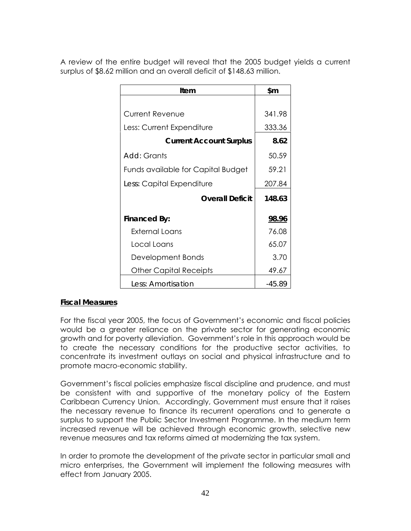A review of the entire budget will reveal that the 2005 budget yields a current surplus of \$8.62 million and an overall deficit of \$148.63 million.

| Item                               | \$m          |
|------------------------------------|--------------|
|                                    |              |
| <b>Current Revenue</b>             | 341.98       |
| Less: Current Expenditure          | 333.36       |
| <b>Current Account Surplus</b>     | 8.62         |
| <i>Add:</i> Grants                 | 50.59        |
| Funds available for Capital Budget | 59.21        |
| Less: Capital Expenditure          | 207.84       |
| <b>Overall Deficit</b>             | 148.63       |
| Financed By:                       | <u>98.96</u> |
| External Loans                     | 76.08        |
| Local Loans                        | 65.07        |
| Development Bonds                  | 3.70         |
| <b>Other Capital Receipts</b>      | 49.67        |
| Less: Amortisation                 | $-45.89$     |

### **Fiscal Measures**

For the fiscal year 2005, the focus of Government's economic and fiscal policies would be a greater reliance on the private sector for generating economic growth and for poverty alleviation. Government's role in this approach would be to create the necessary conditions for the productive sector activities, to concentrate its investment outlays on social and physical infrastructure and to promote macro-economic stability.

Government's fiscal policies emphasize fiscal discipline and prudence, and must be consistent with and supportive of the monetary policy of the Eastern Caribbean Currency Union. Accordingly, Government must ensure that it raises the necessary revenue to finance its recurrent operations and to generate a surplus to support the Public Sector Investment Programme. In the medium term increased revenue will be achieved through economic growth, selective new revenue measures and tax reforms aimed at modernizing the tax system.

In order to promote the development of the private sector in particular small and micro enterprises, the Government will implement the following measures with effect from January 2005.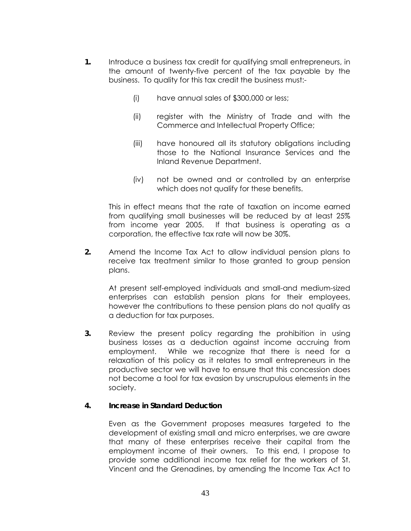- **1.** Introduce a business tax credit for qualifying small entrepreneurs, in the amount of twenty-five percent of the tax payable by the business. To quality for this tax credit the business must:-
	- (i) have annual sales of \$300,000 or less;
	- (ii) register with the Ministry of Trade and with the Commerce and Intellectual Property Office;
	- (iii) have honoured all its statutory obligations including those to the National Insurance Services and the Inland Revenue Department.
	- (iv) not be owned and or controlled by an enterprise which does not qualify for these benefits.

This in effect means that the rate of taxation on income earned from qualifying small businesses will be reduced by at least 25% from income year 2005. If that business is operating as a corporation, the effective tax rate will now be 30%.

**2.** Amend the Income Tax Act to allow individual pension plans to receive tax treatment similar to those granted to group pension plans.

At present self-employed individuals and small-and medium-sized enterprises can establish pension plans for their employees, however the contributions to these pension plans do not qualify as a deduction for tax purposes.

**3.** Review the present policy regarding the prohibition in using business losses as a deduction against income accruing from employment. While we recognize that there is need for a relaxation of this policy as it relates to small entrepreneurs in the productive sector we will have to ensure that this concession does not become a tool for tax evasion by unscrupulous elements in the society.

### **4. Increase in Standard Deduction**

Even as the Government proposes measures targeted to the development of existing small and micro enterprises, we are aware that many of these enterprises receive their capital from the employment income of their owners. To this end, I propose to provide some additional income tax relief for the workers of St. Vincent and the Grenadines, by amending the Income Tax Act to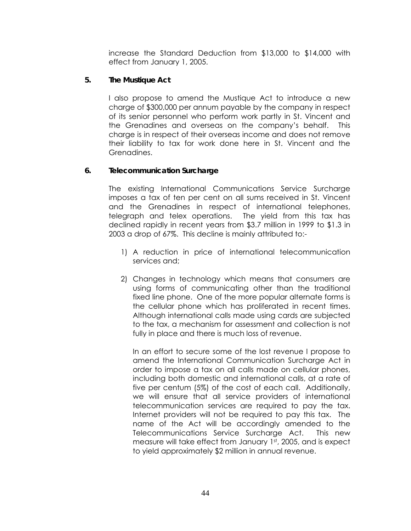increase the Standard Deduction from \$13,000 to \$14,000 with effect from January 1, 2005.

### **5. The Mustique Act**

I also propose to amend the Mustique Act to introduce a new charge of \$300,000 per annum payable by the company in respect of its senior personnel who perform work partly in St. Vincent and the Grenadines and overseas on the company's behalf. This charge is in respect of their overseas income and does not remove their liability to tax for work done here in St. Vincent and the Grenadines.

### **6. Telecommunication Surcharge**

The existing International Communications Service Surcharge imposes a tax of ten per cent on all sums received in St. Vincent and the Grenadines in respect of international telephones, telegraph and telex operations. The yield from this tax has declined rapidly in recent years from \$3.7 million in 1999 to \$1.3 in 2003 a drop of 67%. This decline is mainly attributed to:-

- 1) A reduction in price of international telecommunication services and;
- 2) Changes in technology which means that consumers are using forms of communicating other than the traditional fixed line phone. One of the more popular alternate forms is the cellular phone which has proliferated in recent times. Although international calls made using cards are subjected to the tax, a mechanism for assessment and collection is not fully in place and there is much loss of revenue.

In an effort to secure some of the lost revenue I propose to amend the International Communication Surcharge Act in order to impose a tax on all calls made on cellular phones, including both domestic and international calls, at a rate of five per centum (5%) of the cost of each call. Additionally, we will ensure that all service providers of international telecommunication services are required to pay the tax. Internet providers will not be required to pay this tax. The name of the Act will be accordingly amended to the Telecommunications Service Surcharge Act. This new measure will take effect from January 1st, 2005, and is expect to yield approximately \$2 million in annual revenue.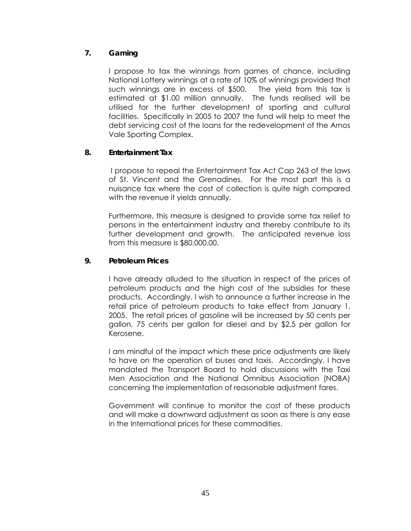# **7. Gaming**

I propose to tax the winnings from games of chance, including National Lottery winnings at a rate of 10% of winnings provided that such winnings are in excess of \$500. The yield from this tax is estimated at \$1.00 million annually. The funds realised will be utilised for the further development of sporting and cultural facilities. Specifically in 2005 to 2007 the fund will help to meet the debt servicing cost of the loans for the redevelopment of the Arnos Vale Sporting Complex.

# **8. Entertainment Tax**

I propose to repeal the Entertainment Tax Act Cap 263 of the laws of St. Vincent and the Grenadines. For the most part this is a nuisance tax where the cost of collection is quite high compared with the revenue it yields annually.

Furthermore, this measure is designed to provide some tax relief to persons in the entertainment industry and thereby contribute to its further development and growth. The anticipated revenue loss from this measure is \$80,000.00.

## **9. Petroleum Prices**

I have already alluded to the situation in respect of the prices of petroleum products and the high cost of the subsidies for these products. Accordingly, I wish to announce a further increase in the retail price of petroleum products to take effect from January 1, 2005. The retail prices of gasoline will be increased by 50 cents per gallon, 75 cents per gallon for diesel and by \$2.5 per gallon for Kerosene.

I am mindful of the impact which these price adjustments are likely to have on the operation of buses and taxis. Accordingly, I have mandated the Transport Board to hold discussions with the Taxi Men Association and the National Omnibus Association (NOBA) concerning the implementation of reasonable adjustment fares.

Government will continue to monitor the cost of these products and will make a downward adjustment as soon as there is any ease in the International prices for these commodities.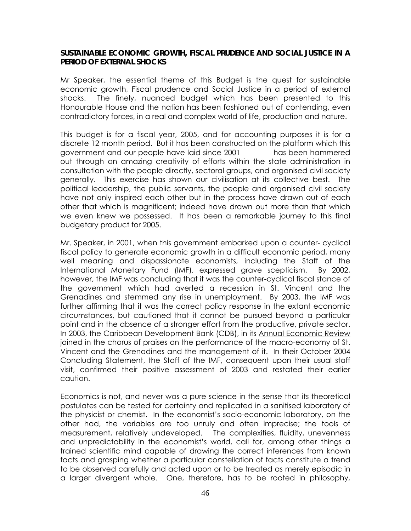### **SUSTAINABLE ECONOMIC GROWTH, FISCAL PRUDENCE AND SOCIAL JUSTICE IN A PERIOD OF EXTERNAL SHOCKS**

Mr Speaker, the essential theme of this Budget is the quest for sustainable economic growth, Fiscal prudence and Social Justice in a period of external shocks. The finely, nuanced budget which has been presented to this Honourable House and the nation has been fashioned out of contending, even contradictory forces, in a real and complex world of life, production and nature.

This budget is for a fiscal year, 2005, and for accounting purposes it is for a discrete 12 month period. But it has been constructed on the platform which this government and our people have laid since 2001 has been hammered out through an amazing creativity of efforts within the state administration in consultation with the people directly, sectoral groups, and organised civil society generally. This exercise has shown our civilisation at its collective best. The political leadership, the public servants, the people and organised civil society have not only inspired each other but in the process have drawn out of each other that which is magnificent; indeed have drawn out more than that which we even knew we possessed. It has been a remarkable journey to this final budgetary product for 2005.

Mr. Speaker, in 2001, when this government embarked upon a counter- cyclical fiscal policy to generate economic growth in a difficult economic period, many well meaning and dispassionate economists, including the Staff of the International Monetary Fund (IMF), expressed grave scepticism. By 2002, however, the IMF was concluding that it was the counter-cyclical fiscal stance of the government which had averted a recession in St. Vincent and the Grenadines and stemmed any rise in unemployment. By 2003, the IMF was further affirming that it was the correct policy response in the extant economic circumstances, but cautioned that it cannot be pursued beyond a particular point and in the absence of a stronger effort from the productive, private sector. In 2003, the Caribbean Development Bank (CDB), in its Annual Economic Review joined in the chorus of praises on the performance of the macro-economy of St. Vincent and the Grenadines and the management of it. In their October 2004 Concluding Statement, the Staff of the IMF, consequent upon their usual staff visit, confirmed their positive assessment of 2003 and restated their earlier caution.

Economics is not, and never was a pure science in the sense that its theoretical postulates can be tested for certainty and replicated in a sanitised laboratory of the physicist or chemist. In the economist's socio-economic laboratory, on the other had, the variables are too unruly and often imprecise; the tools of measurement, relatively undeveloped. The complexities, fluidity, unevenness and unpredictability in the economist's world, call for, among other things a trained scientific mind capable of drawing the correct inferences from known facts and grasping whether a particular constellation of facts constitute a trend to be observed carefully and acted upon or to be treated as merely episodic in a larger divergent whole. One, therefore, has to be rooted in philosophy,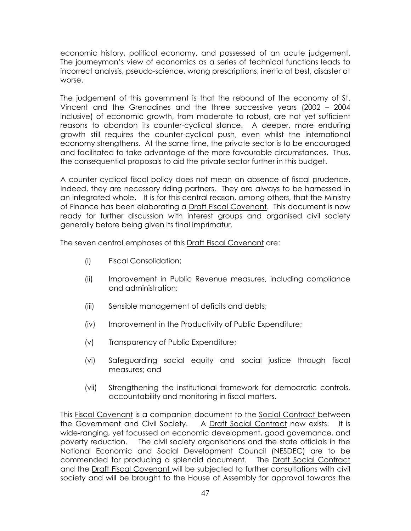economic history, political economy, and possessed of an acute judgement. The journeyman's view of economics as a series of technical functions leads to incorrect analysis, pseudo-science, wrong prescriptions, inertia at best, disaster at worse.

The judgement of this government is that the rebound of the economy of St. Vincent and the Grenadines and the three successive years (2002 – 2004 inclusive) of economic growth, from moderate to robust, are not yet sufficient reasons to abandon its counter-cyclical stance. A deeper, more enduring growth still requires the counter-cyclical push, even whilst the international economy strengthens. At the same time, the private sector is to be encouraged and facilitated to take advantage of the more favourable circumstances. Thus, the consequential proposals to aid the private sector further in this budget.

A counter cyclical fiscal policy does not mean an absence of fiscal prudence. Indeed, they are necessary riding partners. They are always to be harnessed in an integrated whole. It is for this central reason, among others, that the Ministry of Finance has been elaborating a Draft Fiscal Covenant. This document is now ready for further discussion with interest groups and organised civil society generally before being given its final imprimatur.

The seven central emphases of this **Draft Fiscal Covenant** are:

- (i) Fiscal Consolidation;
- (ii) Improvement in Public Revenue measures, including compliance and administration;
- (iii) Sensible management of deficits and debts;
- (iv) Improvement in the Productivity of Public Expenditure;
- (v) Transparency of Public Expenditure;
- (vi) Safeguarding social equity and social justice through fiscal measures; and
- (vii) Strengthening the institutional framework for democratic controls, accountability and monitoring in fiscal matters.

This Fiscal Covenant is a companion document to the Social Contract between the Government and Civil Society. A Draft Social Contract now exists. It is wide-ranging, yet focussed on economic development, good governance, and poverty reduction. The civil society organisations and the state officials in the National Economic and Social Development Council (NESDEC) are to be commended for producing a splendid document. The Draft Social Contract and the Draft Fiscal Covenant will be subjected to further consultations with civil society and will be brought to the House of Assembly for approval towards the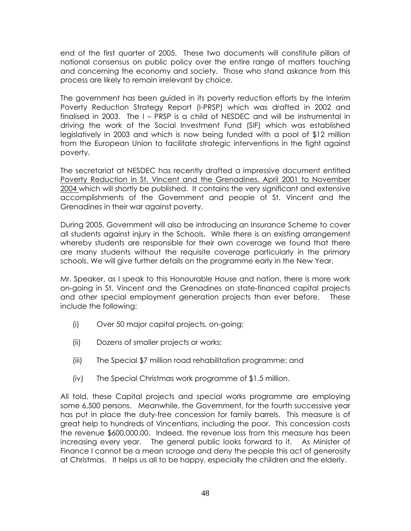end of the first quarter of 2005. These two documents will constitute pillars of national consensus on public policy over the entire range of matters touching and concerning the economy and society. Those who stand askance from this process are likely to remain irrelevant by choice.

The government has been guided in its poverty reduction efforts by the Interim Poverty Reduction Strategy Report (I-PRSP) which was drafted in 2002 and finalised in 2003. The I – PRSP is a child of NESDEC and will be instrumental in driving the work of the Social Investment Fund (SIF) which was established legislatively in 2003 and which is now being funded with a pool of \$12 million from the European Union to facilitate strategic interventions in the fight against poverty.

The secretariat at NESDEC has recently drafted a impressive document entitled Poverty Reduction in St. Vincent and the Grenadines, April 2001 to November 2004 which will shortly be published. It contains the very significant and extensive accomplishments of the Government and people of St. Vincent and the Grenadines in their war against poverty.

During 2005, Government will also be introducing an Insurance Scheme to cover all students against injury in the Schools. While there is an existing arrangement whereby students are responsible for their own coverage we found that there are many students without the requisite coverage particularly in the primary schools. We will give further details on the programme early in the New Year.

Mr. Speaker, as I speak to this Honourable House and nation, there is more work on-going in St. Vincent and the Grenadines on state-financed capital projects and other special employment generation projects than ever before. These include the following:

- (i) Over 50 major capital projects, on-going;
- (ii) Dozens of smaller projects or works;
- (iii) The Special \$7 million road rehabilitation programme; and
- (iv) The Special Christmas work programme of \$1.5 million.

All told, these Capital projects and special works programme are employing some 6,500 persons. Meanwhile, the Government, for the fourth successive year has put in place the duty-free concession for family barrels. This measure is of great help to hundreds of Vincentians, including the poor. This concession costs the revenue \$600,000.00. Indeed, the revenue loss from this measure has been increasing every year. The general public looks forward to it. As Minister of Finance I cannot be a mean scrooge and deny the people this act of generosity at Christmas. It helps us all to be happy, especially the children and the elderly.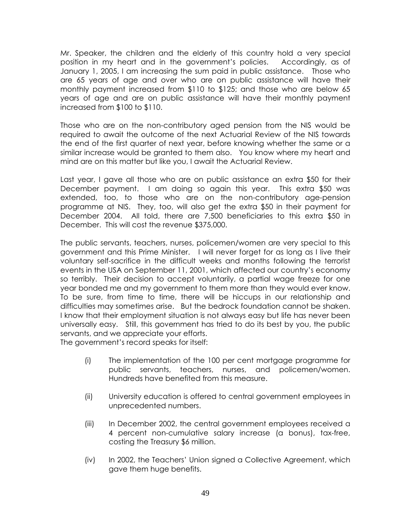Mr. Speaker, the children and the elderly of this country hold a very special position in my heart and in the government's policies. Accordingly, as of January 1, 2005, I am increasing the sum paid in public assistance. Those who are 65 years of age and over who are on public assistance will have their monthly payment increased from \$110 to \$125; and those who are below 65 years of age and are on public assistance will have their monthly payment increased from \$100 to \$110.

Those who are on the non-contributory aged pension from the NIS would be required to await the outcome of the next Actuarial Review of the NIS towards the end of the first quarter of next year, before knowing whether the same or a similar increase would be granted to them also. You know where my heart and mind are on this matter but like you, I await the Actuarial Review.

Last year, I gave all those who are on public assistance an extra \$50 for their December payment. I am doing so again this year. This extra \$50 was extended, too, to those who are on the non-contributory age-pension programme at NIS. They, too, will also get the extra \$50 in their payment for December 2004. All told, there are 7,500 beneficiaries to this extra \$50 in December. This will cost the revenue \$375,000.

The public servants, teachers, nurses, policemen/women are very special to this government and this Prime Minister. I will never forget for as long as I live their voluntary self-sacrifice in the difficult weeks and months following the terrorist events in the USA on September 11, 2001, which affected our country's economy so terribly. Their decision to accept voluntarily, a partial wage freeze for one year bonded me and my government to them more than they would ever know. To be sure, from time to time, there will be hiccups in our relationship and difficulties may sometimes arise. But the bedrock foundation cannot be shaken. I know that their employment situation is not always easy but life has never been universally easy. Still, this government has tried to do its best by you, the public servants, and we appreciate your efforts.

The government's record speaks for itself:

- (i) The implementation of the 100 per cent mortgage programme for public servants, teachers, nurses, and policemen/women. Hundreds have benefited from this measure.
- (ii) University education is offered to central government employees in unprecedented numbers.
- (iii) In December 2002, the central government employees received a 4 percent non-cumulative salary increase (a bonus), tax-free, costing the Treasury \$6 million.
- (iv) In 2002, the Teachers' Union signed a Collective Agreement, which gave them huge benefits.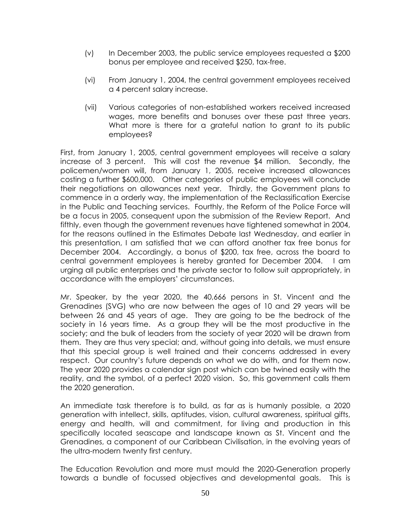- (v) In December 2003, the public service employees requested a \$200 bonus per employee and received \$250, tax-free.
- (vi) From January 1, 2004, the central government employees received a 4 percent salary increase.
- (vii) Various categories of non-established workers received increased wages, more benefits and bonuses over these past three years. What more is there for a grateful nation to grant to its public employees?

First, from January 1, 2005, central government employees will receive a salary increase of 3 percent. This will cost the revenue \$4 million. Secondly, the policemen/women will, from January 1, 2005, receive increased allowances costing a further \$600,000. Other categories of public employees will conclude their negotiations on allowances next year. Thirdly, the Government plans to commence in a orderly way, the implementation of the Reclassification Exercise in the Public and Teaching services. Fourthly, the Reform of the Police Force will be a focus in 2005, consequent upon the submission of the Review Report. And fifthly, even though the government revenues have tightened somewhat in 2004, for the reasons outlined in the Estimates Debate last Wednesday, and earlier in this presentation, I am satisfied that we can afford another tax free bonus for December 2004. Accordingly, a bonus of \$200, tax free, across the board to central government employees is hereby granted for December 2004. I am urging all public enterprises and the private sector to follow suit appropriately, in accordance with the employers' circumstances.

Mr. Speaker, by the year 2020, the 40,666 persons in St. Vincent and the Grenadines (SVG) who are now between the ages of 10 and 29 years will be between 26 and 45 years of age. They are going to be the bedrock of the society in 16 years time. As a group they will be the most productive in the society; and the bulk of leaders from the society of year 2020 will be drawn from them. They are thus very special; and, without going into details, we must ensure that this special group is well trained and their concerns addressed in every respect. Our country's future depends on what we do with, and for them now. The year 2020 provides a calendar sign post which can be twined easily with the reality, and the symbol, of a perfect 2020 vision. So, this government calls them the 2020 generation.

An immediate task therefore is to build, as far as is humanly possible, a 2020 generation with intellect, skills, aptitudes, vision, cultural awareness, spiritual gifts, energy and health, will and commitment, for living and production in this specifically located seascape and landscape known as St. Vincent and the Grenadines, a component of our Caribbean Civilisation, in the evolving years of the ultra-modern twenty first century.

The Education Revolution and more must mould the 2020-Generation properly towards a bundle of focussed objectives and developmental goals. This is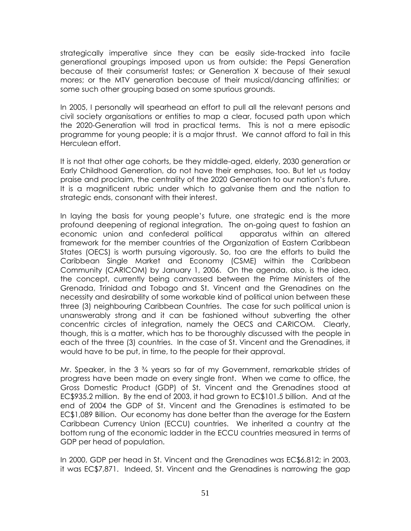strategically imperative since they can be easily side-tracked into facile generational groupings imposed upon us from outside: the Pepsi Generation because of their consumerist tastes; or Generation X because of their sexual mores; or the MTV generation because of their musical/dancing affinities; or some such other grouping based on some spurious grounds.

In 2005, I personally will spearhead an effort to pull all the relevant persons and civil society organisations or entities to map a clear, focused path upon which the 2020-Generation will trod in practical terms. This is not a mere episodic programme for young people; it is a major thrust. We cannot afford to fail in this Herculean effort.

It is not that other age cohorts, be they middle-aged, elderly, 2030 generation or Early Childhood Generation, do not have their emphases, too. But let us today praise and proclaim, the centrality of the 2020 Generation to our nation's future. It is a magnificent rubric under which to galvanise them and the nation to strategic ends, consonant with their interest.

In laying the basis for young people's future, one strategic end is the more profound deepening of regional integration. The on-going quest to fashion an economic union and confederal political apparatus within an altered framework for the member countries of the Organization of Eastern Caribbean States (OECS) is worth pursuing vigorously. So, too are the efforts to build the Caribbean Single Market and Economy (CSME) within the Caribbean Community (CARICOM) by January 1, 2006. On the agenda, also, is the idea, the concept, currently being canvassed between the Prime Ministers of the Grenada, Trinidad and Tobago and St. Vincent and the Grenadines on the necessity and desirability of some workable kind of political union between these three (3) neighbouring Caribbean Countries. The case for such political union is unanswerably strong and it can be fashioned without subverting the other concentric circles of integration, namely the OECS and CARICOM. Clearly, though, this is a matter, which has to be thoroughly discussed with the people in each of the three (3) countries. In the case of St. Vincent and the Grenadines, it would have to be put, in time, to the people for their approval.

Mr. Speaker, in the 3 ¾ years so far of my Government, remarkable strides of progress have been made on every single front. When we came to office, the Gross Domestic Product (GDP) of St. Vincent and the Grenadines stood at EC\$935.2 million. By the end of 2003, it had grown to EC\$101.5 billion. And at the end of 2004 the GDP of St. Vincent and the Grenadines is estimated to be EC\$1,089 Billion. Our economy has done better than the average for the Eastern Caribbean Currency Union (ECCU) countries. We inherited a country at the bottom rung of the economic ladder in the ECCU countries measured in terms of GDP per head of population.

In 2000, GDP per head in St. Vincent and the Grenadines was EC\$6,812; in 2003, it was EC\$7,871. Indeed, St. Vincent and the Grenadines is narrowing the gap